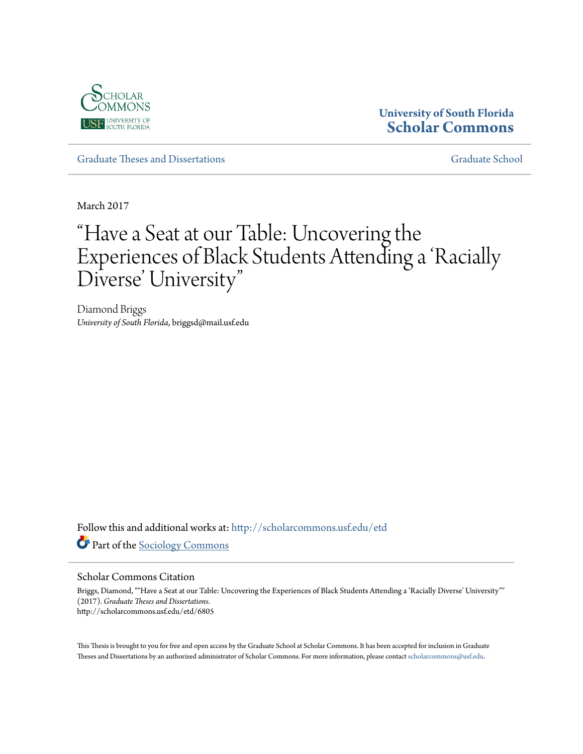

# **University of South Florida [Scholar Commons](http://scholarcommons.usf.edu?utm_source=scholarcommons.usf.edu%2Fetd%2F6805&utm_medium=PDF&utm_campaign=PDFCoverPages)**

[Graduate Theses and Dissertations](http://scholarcommons.usf.edu/etd?utm_source=scholarcommons.usf.edu%2Fetd%2F6805&utm_medium=PDF&utm_campaign=PDFCoverPages) [Graduate School](http://scholarcommons.usf.edu/grad?utm_source=scholarcommons.usf.edu%2Fetd%2F6805&utm_medium=PDF&utm_campaign=PDFCoverPages)

March 2017

# "Have a Seat at our Table: Uncovering the Experiences of Black Students Attending a 'Racially Diverse' University"

Diamond Briggs *University of South Florida*, briggsd@mail.usf.edu

Follow this and additional works at: [http://scholarcommons.usf.edu/etd](http://scholarcommons.usf.edu/etd?utm_source=scholarcommons.usf.edu%2Fetd%2F6805&utm_medium=PDF&utm_campaign=PDFCoverPages) Part of the [Sociology Commons](https://network.bepress.com/hgg/discipline/416?utm_source=scholarcommons.usf.edu%2Fetd%2F6805&utm_medium=PDF&utm_campaign=PDFCoverPages)

#### Scholar Commons Citation

Briggs, Diamond, ""Have a Seat at our Table: Uncovering the Experiences of Black Students Attending a 'Racially Diverse' University"" (2017). *Graduate Theses and Dissertations.* http://scholarcommons.usf.edu/etd/6805

This Thesis is brought to you for free and open access by the Graduate School at Scholar Commons. It has been accepted for inclusion in Graduate Theses and Dissertations by an authorized administrator of Scholar Commons. For more information, please contact [scholarcommons@usf.edu.](mailto:scholarcommons@usf.edu)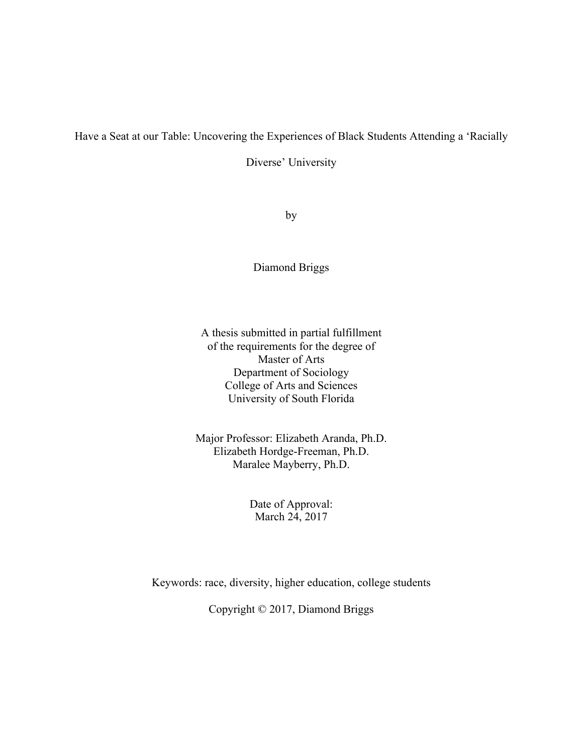## Have a Seat at our Table: Uncovering the Experiences of Black Students Attending a 'Racially

Diverse' University

by

Diamond Briggs

A thesis submitted in partial fulfillment of the requirements for the degree of Master of Arts Department of Sociology College of Arts and Sciences University of South Florida

Major Professor: Elizabeth Aranda, Ph.D. Elizabeth Hordge-Freeman, Ph.D. Maralee Mayberry, Ph.D.

> Date of Approval: March 24, 2017

Keywords: race, diversity, higher education, college students

Copyright © 2017, Diamond Briggs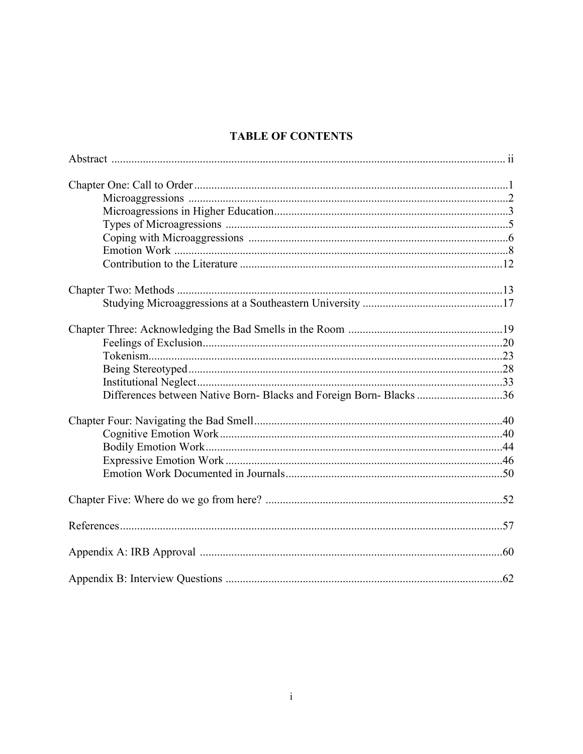# **TABLE OF CONTENTS**

| Differences between Native Born- Blacks and Foreign Born- Blacks 36 |  |
|---------------------------------------------------------------------|--|
|                                                                     |  |
|                                                                     |  |
|                                                                     |  |
|                                                                     |  |
|                                                                     |  |
|                                                                     |  |
|                                                                     |  |
|                                                                     |  |
|                                                                     |  |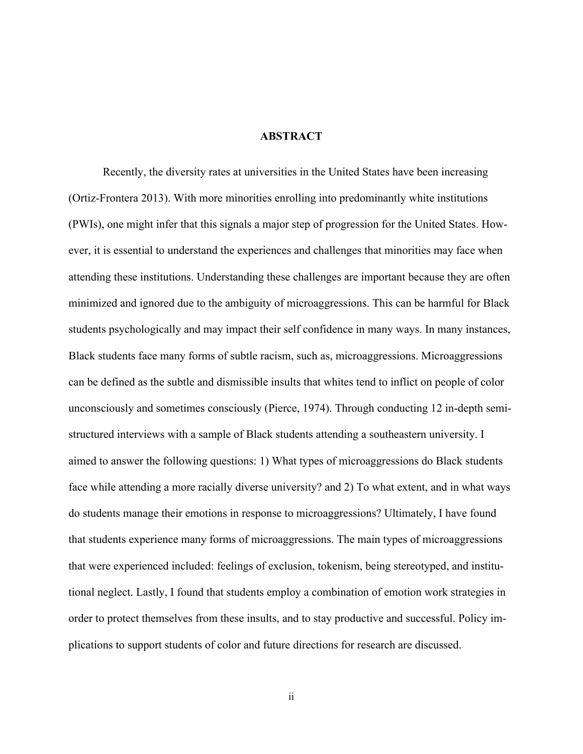#### **ABSTRACT**

Recently, the diversity rates at universities in the United States have been increasing (Ortiz-Frontera 2013). With more minorities enrolling into predominantly white institutions (PWIs), one might infer that this signals a major step of progression for the United States. However, it is essential to understand the experiences and challenges that minorities may face when attending these institutions. Understanding these challenges are important because they are often minimized and ignored due to the ambiguity of microaggressions. This can be harmful for Black students psychologically and may impact their self confidence in many ways. In many instances, Black students face many forms of subtle racism, such as, microaggressions. Microaggressions can be defined as the subtle and dismissible insults that whites tend to inflict on people of color unconsciously and sometimes consciously (Pierce, 1974). Through conducting 12 in-depth semistructured interviews with a sample of Black students attending a southeastern university. I aimed to answer the following questions: 1) What types of microaggressions do Black students face while attending a more racially diverse university? and 2) To what extent, and in what ways do students manage their emotions in response to microaggressions? Ultimately, I have found that students experience many forms of microaggressions. The main types of microaggressions that were experienced included: feelings of exclusion, tokenism, being stereotyped, and institutional neglect. Lastly, I found that students employ a combination of emotion work strategies in order to protect themselves from these insults, and to stay productive and successful. Policy implications to support students of color and future directions for research are discussed.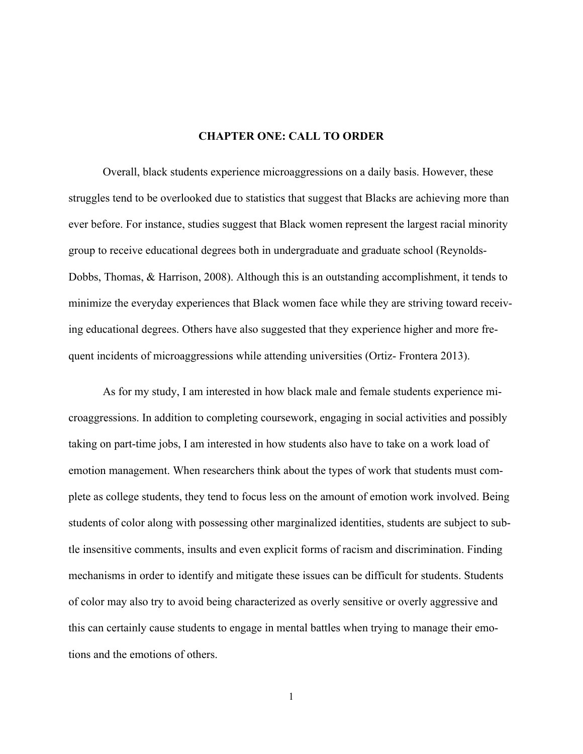#### **CHAPTER ONE: CALL TO ORDER**

Overall, black students experience microaggressions on a daily basis. However, these struggles tend to be overlooked due to statistics that suggest that Blacks are achieving more than ever before. For instance, studies suggest that Black women represent the largest racial minority group to receive educational degrees both in undergraduate and graduate school (Reynolds-Dobbs, Thomas, & Harrison, 2008). Although this is an outstanding accomplishment, it tends to minimize the everyday experiences that Black women face while they are striving toward receiving educational degrees. Others have also suggested that they experience higher and more frequent incidents of microaggressions while attending universities (Ortiz- Frontera 2013).

As for my study, I am interested in how black male and female students experience microaggressions. In addition to completing coursework, engaging in social activities and possibly taking on part-time jobs, I am interested in how students also have to take on a work load of emotion management. When researchers think about the types of work that students must complete as college students, they tend to focus less on the amount of emotion work involved. Being students of color along with possessing other marginalized identities, students are subject to subtle insensitive comments, insults and even explicit forms of racism and discrimination. Finding mechanisms in order to identify and mitigate these issues can be difficult for students. Students of color may also try to avoid being characterized as overly sensitive or overly aggressive and this can certainly cause students to engage in mental battles when trying to manage their emotions and the emotions of others.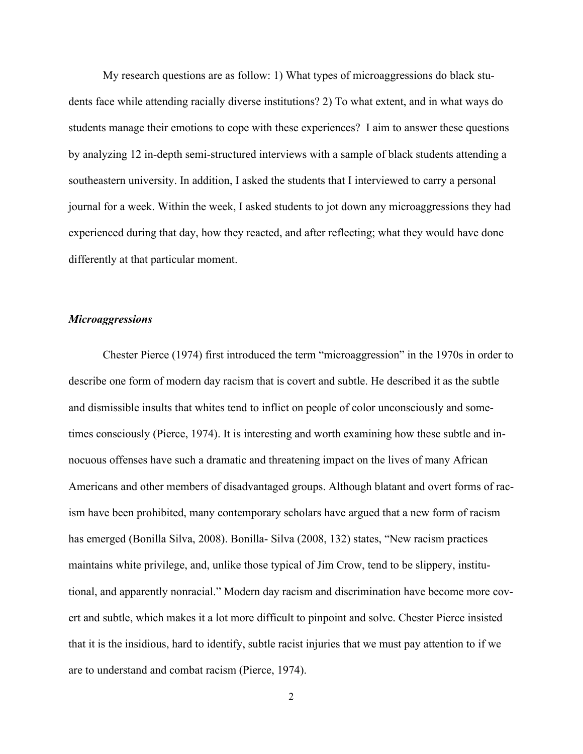My research questions are as follow: 1) What types of microaggressions do black students face while attending racially diverse institutions? 2) To what extent, and in what ways do students manage their emotions to cope with these experiences? I aim to answer these questions by analyzing 12 in-depth semi-structured interviews with a sample of black students attending a southeastern university. In addition, I asked the students that I interviewed to carry a personal journal for a week. Within the week, I asked students to jot down any microaggressions they had experienced during that day, how they reacted, and after reflecting; what they would have done differently at that particular moment.

#### *Microaggressions*

Chester Pierce (1974) first introduced the term "microaggression" in the 1970s in order to describe one form of modern day racism that is covert and subtle. He described it as the subtle and dismissible insults that whites tend to inflict on people of color unconsciously and sometimes consciously (Pierce, 1974). It is interesting and worth examining how these subtle and innocuous offenses have such a dramatic and threatening impact on the lives of many African Americans and other members of disadvantaged groups. Although blatant and overt forms of racism have been prohibited, many contemporary scholars have argued that a new form of racism has emerged (Bonilla Silva, 2008). Bonilla- Silva (2008, 132) states, "New racism practices maintains white privilege, and, unlike those typical of Jim Crow, tend to be slippery, institutional, and apparently nonracial." Modern day racism and discrimination have become more covert and subtle, which makes it a lot more difficult to pinpoint and solve. Chester Pierce insisted that it is the insidious, hard to identify, subtle racist injuries that we must pay attention to if we are to understand and combat racism (Pierce, 1974).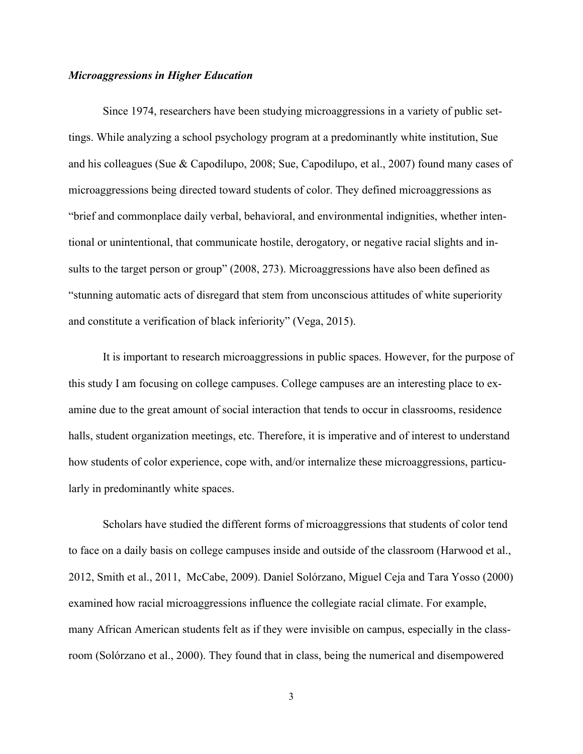#### *Microaggressions in Higher Education*

Since 1974, researchers have been studying microaggressions in a variety of public settings. While analyzing a school psychology program at a predominantly white institution, Sue and his colleagues (Sue & Capodilupo, 2008; Sue, Capodilupo, et al., 2007) found many cases of microaggressions being directed toward students of color. They defined microaggressions as "brief and commonplace daily verbal, behavioral, and environmental indignities, whether intentional or unintentional, that communicate hostile, derogatory, or negative racial slights and insults to the target person or group" (2008, 273). Microaggressions have also been defined as "stunning automatic acts of disregard that stem from unconscious attitudes of white superiority and constitute a verification of black inferiority" (Vega, 2015).

It is important to research microaggressions in public spaces. However, for the purpose of this study I am focusing on college campuses. College campuses are an interesting place to examine due to the great amount of social interaction that tends to occur in classrooms, residence halls, student organization meetings, etc. Therefore, it is imperative and of interest to understand how students of color experience, cope with, and/or internalize these microaggressions, particularly in predominantly white spaces.

Scholars have studied the different forms of microaggressions that students of color tend to face on a daily basis on college campuses inside and outside of the classroom (Harwood et al., 2012, Smith et al., 2011, McCabe, 2009). Daniel Solórzano, Miguel Ceja and Tara Yosso (2000) examined how racial microaggressions influence the collegiate racial climate. For example, many African American students felt as if they were invisible on campus, especially in the classroom (Solórzano et al., 2000). They found that in class, being the numerical and disempowered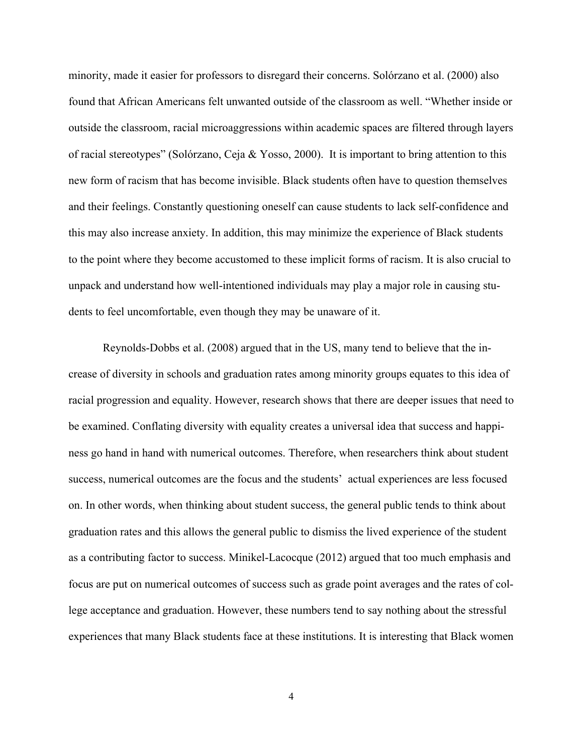minority, made it easier for professors to disregard their concerns. Solórzano et al. (2000) also found that African Americans felt unwanted outside of the classroom as well. "Whether inside or outside the classroom, racial microaggressions within academic spaces are filtered through layers of racial stereotypes" (Solórzano, Ceja & Yosso, 2000). It is important to bring attention to this new form of racism that has become invisible. Black students often have to question themselves and their feelings. Constantly questioning oneself can cause students to lack self-confidence and this may also increase anxiety. In addition, this may minimize the experience of Black students to the point where they become accustomed to these implicit forms of racism. It is also crucial to unpack and understand how well-intentioned individuals may play a major role in causing students to feel uncomfortable, even though they may be unaware of it.

Reynolds-Dobbs et al. (2008) argued that in the US, many tend to believe that the increase of diversity in schools and graduation rates among minority groups equates to this idea of racial progression and equality. However, research shows that there are deeper issues that need to be examined. Conflating diversity with equality creates a universal idea that success and happiness go hand in hand with numerical outcomes. Therefore, when researchers think about student success, numerical outcomes are the focus and the students' actual experiences are less focused on. In other words, when thinking about student success, the general public tends to think about graduation rates and this allows the general public to dismiss the lived experience of the student as a contributing factor to success. Minikel-Lacocque (2012) argued that too much emphasis and focus are put on numerical outcomes of success such as grade point averages and the rates of college acceptance and graduation. However, these numbers tend to say nothing about the stressful experiences that many Black students face at these institutions. It is interesting that Black women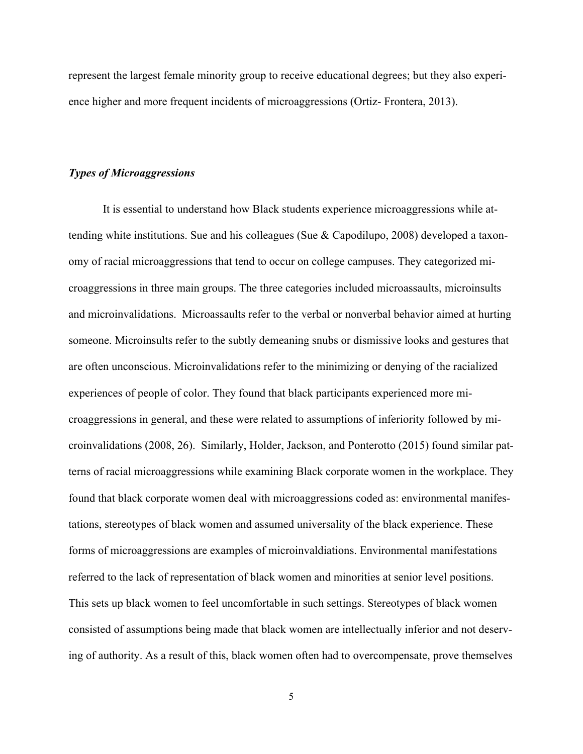represent the largest female minority group to receive educational degrees; but they also experience higher and more frequent incidents of microaggressions (Ortiz- Frontera, 2013).

#### *Types of Microaggressions*

It is essential to understand how Black students experience microaggressions while attending white institutions. Sue and his colleagues (Sue & Capodilupo, 2008) developed a taxonomy of racial microaggressions that tend to occur on college campuses. They categorized microaggressions in three main groups. The three categories included microassaults, microinsults and microinvalidations. Microassaults refer to the verbal or nonverbal behavior aimed at hurting someone. Microinsults refer to the subtly demeaning snubs or dismissive looks and gestures that are often unconscious. Microinvalidations refer to the minimizing or denying of the racialized experiences of people of color. They found that black participants experienced more microaggressions in general, and these were related to assumptions of inferiority followed by microinvalidations (2008, 26). Similarly, Holder, Jackson, and Ponterotto (2015) found similar patterns of racial microaggressions while examining Black corporate women in the workplace. They found that black corporate women deal with microaggressions coded as: environmental manifestations, stereotypes of black women and assumed universality of the black experience. These forms of microaggressions are examples of microinvaldiations. Environmental manifestations referred to the lack of representation of black women and minorities at senior level positions. This sets up black women to feel uncomfortable in such settings. Stereotypes of black women consisted of assumptions being made that black women are intellectually inferior and not deserving of authority. As a result of this, black women often had to overcompensate, prove themselves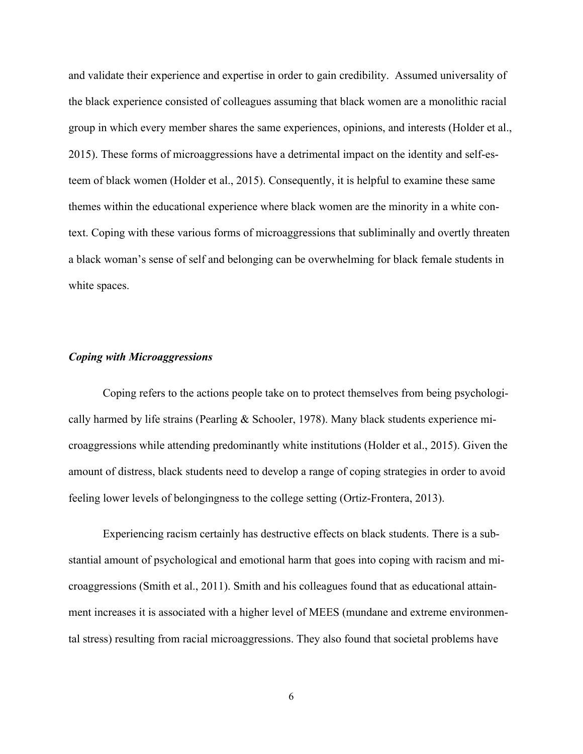and validate their experience and expertise in order to gain credibility. Assumed universality of the black experience consisted of colleagues assuming that black women are a monolithic racial group in which every member shares the same experiences, opinions, and interests (Holder et al., 2015). These forms of microaggressions have a detrimental impact on the identity and self-esteem of black women (Holder et al., 2015). Consequently, it is helpful to examine these same themes within the educational experience where black women are the minority in a white context. Coping with these various forms of microaggressions that subliminally and overtly threaten a black woman's sense of self and belonging can be overwhelming for black female students in white spaces.

#### *Coping with Microaggressions*

Coping refers to the actions people take on to protect themselves from being psychologically harmed by life strains (Pearling & Schooler, 1978). Many black students experience microaggressions while attending predominantly white institutions (Holder et al., 2015). Given the amount of distress, black students need to develop a range of coping strategies in order to avoid feeling lower levels of belongingness to the college setting (Ortiz-Frontera, 2013).

Experiencing racism certainly has destructive effects on black students. There is a substantial amount of psychological and emotional harm that goes into coping with racism and microaggressions (Smith et al., 2011). Smith and his colleagues found that as educational attainment increases it is associated with a higher level of MEES (mundane and extreme environmental stress) resulting from racial microaggressions. They also found that societal problems have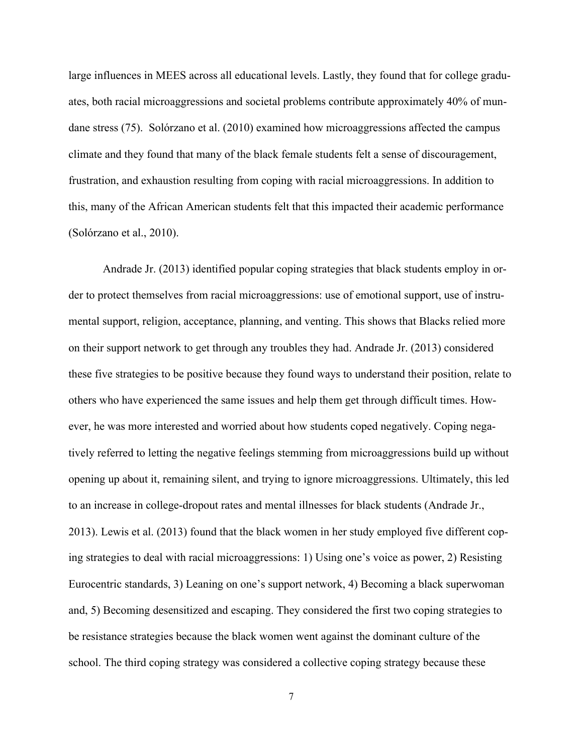large influences in MEES across all educational levels. Lastly, they found that for college graduates, both racial microaggressions and societal problems contribute approximately 40% of mundane stress (75). Solórzano et al. (2010) examined how microaggressions affected the campus climate and they found that many of the black female students felt a sense of discouragement, frustration, and exhaustion resulting from coping with racial microaggressions. In addition to this, many of the African American students felt that this impacted their academic performance (Solórzano et al., 2010).

Andrade Jr. (2013) identified popular coping strategies that black students employ in order to protect themselves from racial microaggressions: use of emotional support, use of instrumental support, religion, acceptance, planning, and venting. This shows that Blacks relied more on their support network to get through any troubles they had. Andrade Jr. (2013) considered these five strategies to be positive because they found ways to understand their position, relate to others who have experienced the same issues and help them get through difficult times. However, he was more interested and worried about how students coped negatively. Coping negatively referred to letting the negative feelings stemming from microaggressions build up without opening up about it, remaining silent, and trying to ignore microaggressions. Ultimately, this led to an increase in college-dropout rates and mental illnesses for black students (Andrade Jr., 2013). Lewis et al. (2013) found that the black women in her study employed five different coping strategies to deal with racial microaggressions: 1) Using one's voice as power, 2) Resisting Eurocentric standards, 3) Leaning on one's support network, 4) Becoming a black superwoman and, 5) Becoming desensitized and escaping. They considered the first two coping strategies to be resistance strategies because the black women went against the dominant culture of the school. The third coping strategy was considered a collective coping strategy because these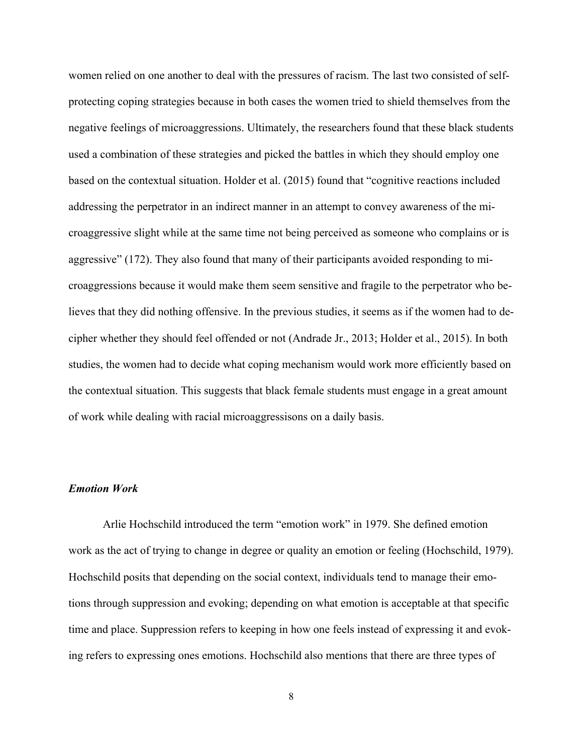women relied on one another to deal with the pressures of racism. The last two consisted of selfprotecting coping strategies because in both cases the women tried to shield themselves from the negative feelings of microaggressions. Ultimately, the researchers found that these black students used a combination of these strategies and picked the battles in which they should employ one based on the contextual situation. Holder et al. (2015) found that "cognitive reactions included addressing the perpetrator in an indirect manner in an attempt to convey awareness of the microaggressive slight while at the same time not being perceived as someone who complains or is aggressive" (172). They also found that many of their participants avoided responding to microaggressions because it would make them seem sensitive and fragile to the perpetrator who believes that they did nothing offensive. In the previous studies, it seems as if the women had to decipher whether they should feel offended or not (Andrade Jr., 2013; Holder et al., 2015). In both studies, the women had to decide what coping mechanism would work more efficiently based on the contextual situation. This suggests that black female students must engage in a great amount of work while dealing with racial microaggressisons on a daily basis.

## *Emotion Work*

Arlie Hochschild introduced the term "emotion work" in 1979. She defined emotion work as the act of trying to change in degree or quality an emotion or feeling (Hochschild, 1979). Hochschild posits that depending on the social context, individuals tend to manage their emotions through suppression and evoking; depending on what emotion is acceptable at that specific time and place. Suppression refers to keeping in how one feels instead of expressing it and evoking refers to expressing ones emotions. Hochschild also mentions that there are three types of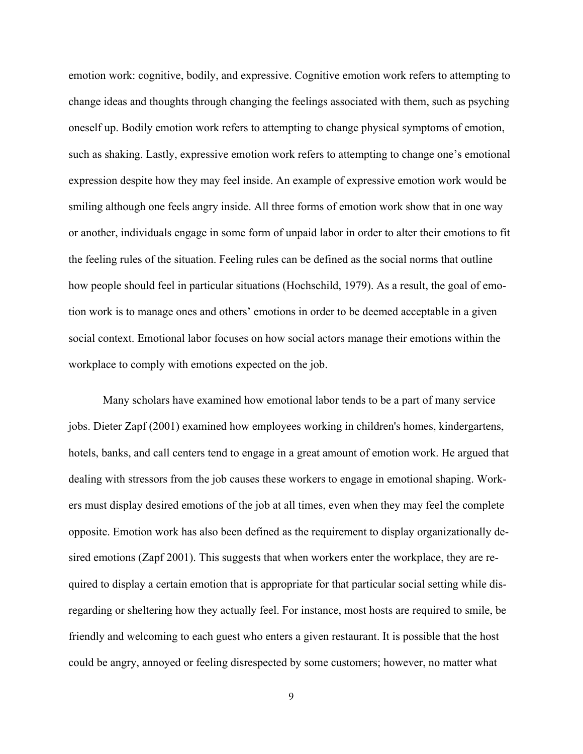emotion work: cognitive, bodily, and expressive. Cognitive emotion work refers to attempting to change ideas and thoughts through changing the feelings associated with them, such as psyching oneself up. Bodily emotion work refers to attempting to change physical symptoms of emotion, such as shaking. Lastly, expressive emotion work refers to attempting to change one's emotional expression despite how they may feel inside. An example of expressive emotion work would be smiling although one feels angry inside. All three forms of emotion work show that in one way or another, individuals engage in some form of unpaid labor in order to alter their emotions to fit the feeling rules of the situation. Feeling rules can be defined as the social norms that outline how people should feel in particular situations (Hochschild, 1979). As a result, the goal of emotion work is to manage ones and others' emotions in order to be deemed acceptable in a given social context. Emotional labor focuses on how social actors manage their emotions within the workplace to comply with emotions expected on the job.

Many scholars have examined how emotional labor tends to be a part of many service jobs. Dieter Zapf (2001) examined how employees working in children's homes, kindergartens, hotels, banks, and call centers tend to engage in a great amount of emotion work. He argued that dealing with stressors from the job causes these workers to engage in emotional shaping. Workers must display desired emotions of the job at all times, even when they may feel the complete opposite. Emotion work has also been defined as the requirement to display organizationally desired emotions (Zapf 2001). This suggests that when workers enter the workplace, they are required to display a certain emotion that is appropriate for that particular social setting while disregarding or sheltering how they actually feel. For instance, most hosts are required to smile, be friendly and welcoming to each guest who enters a given restaurant. It is possible that the host could be angry, annoyed or feeling disrespected by some customers; however, no matter what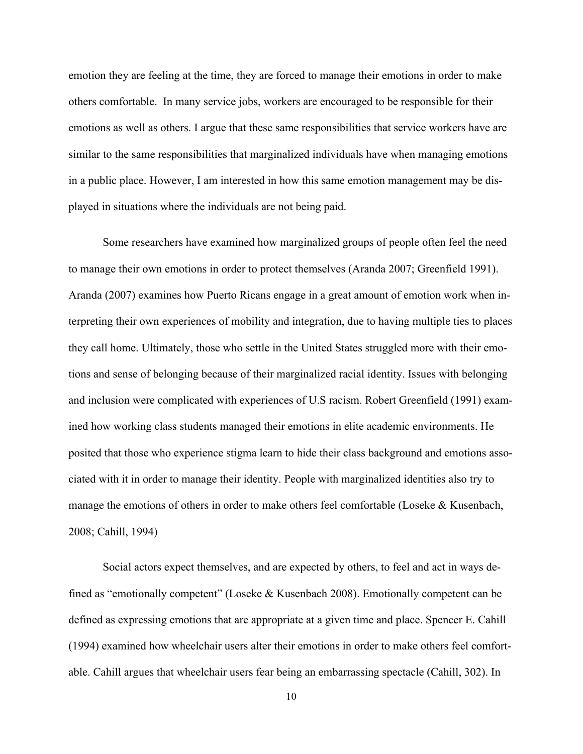emotion they are feeling at the time, they are forced to manage their emotions in order to make others comfortable. In many service jobs, workers are encouraged to be responsible for their emotions as well as others. I argue that these same responsibilities that service workers have are similar to the same responsibilities that marginalized individuals have when managing emotions in a public place. However, I am interested in how this same emotion management may be displayed in situations where the individuals are not being paid.

Some researchers have examined how marginalized groups of people often feel the need to manage their own emotions in order to protect themselves (Aranda 2007; Greenfield 1991). Aranda (2007) examines how Puerto Ricans engage in a great amount of emotion work when interpreting their own experiences of mobility and integration, due to having multiple ties to places they call home. Ultimately, those who settle in the United States struggled more with their emotions and sense of belonging because of their marginalized racial identity. Issues with belonging and inclusion were complicated with experiences of U.S racism. Robert Greenfield (1991) examined how working class students managed their emotions in elite academic environments. He posited that those who experience stigma learn to hide their class background and emotions associated with it in order to manage their identity. People with marginalized identities also try to manage the emotions of others in order to make others feel comfortable (Loseke & Kusenbach, 2008; Cahill, 1994)

Social actors expect themselves, and are expected by others, to feel and act in ways defined as "emotionally competent" (Loseke & Kusenbach 2008). Emotionally competent can be defined as expressing emotions that are appropriate at a given time and place. Spencer E. Cahill (1994) examined how wheelchair users alter their emotions in order to make others feel comfortable. Cahill argues that wheelchair users fear being an embarrassing spectacle (Cahill, 302). In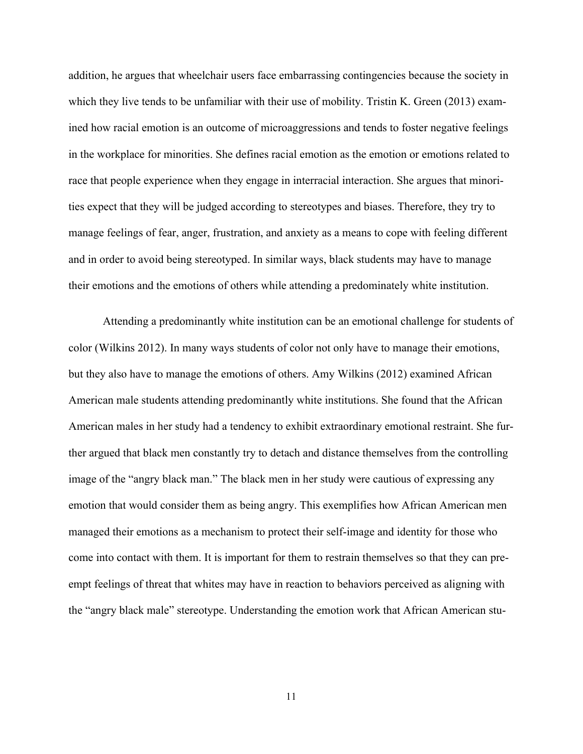addition, he argues that wheelchair users face embarrassing contingencies because the society in which they live tends to be unfamiliar with their use of mobility. Tristin K. Green (2013) examined how racial emotion is an outcome of microaggressions and tends to foster negative feelings in the workplace for minorities. She defines racial emotion as the emotion or emotions related to race that people experience when they engage in interracial interaction. She argues that minorities expect that they will be judged according to stereotypes and biases. Therefore, they try to manage feelings of fear, anger, frustration, and anxiety as a means to cope with feeling different and in order to avoid being stereotyped. In similar ways, black students may have to manage their emotions and the emotions of others while attending a predominately white institution.

Attending a predominantly white institution can be an emotional challenge for students of color (Wilkins 2012). In many ways students of color not only have to manage their emotions, but they also have to manage the emotions of others. Amy Wilkins (2012) examined African American male students attending predominantly white institutions. She found that the African American males in her study had a tendency to exhibit extraordinary emotional restraint. She further argued that black men constantly try to detach and distance themselves from the controlling image of the "angry black man." The black men in her study were cautious of expressing any emotion that would consider them as being angry. This exemplifies how African American men managed their emotions as a mechanism to protect their self-image and identity for those who come into contact with them. It is important for them to restrain themselves so that they can preempt feelings of threat that whites may have in reaction to behaviors perceived as aligning with the "angry black male" stereotype. Understanding the emotion work that African American stu-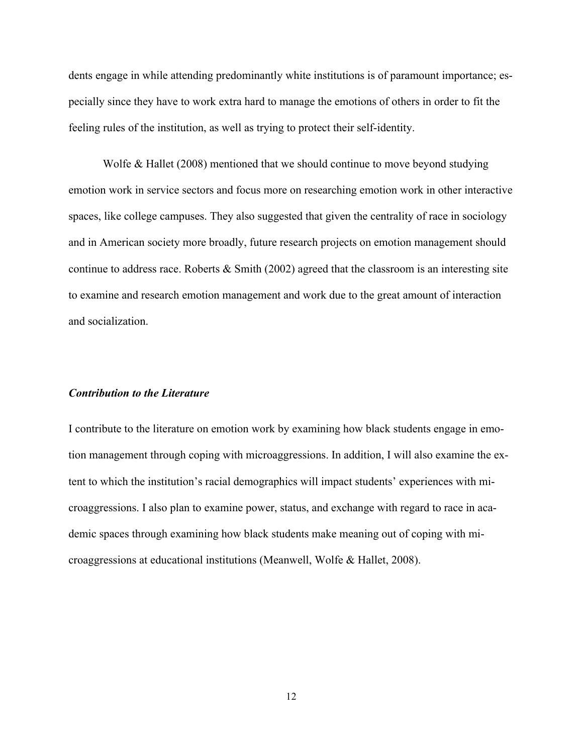dents engage in while attending predominantly white institutions is of paramount importance; especially since they have to work extra hard to manage the emotions of others in order to fit the feeling rules of the institution, as well as trying to protect their self-identity.

Wolfe & Hallet (2008) mentioned that we should continue to move beyond studying emotion work in service sectors and focus more on researching emotion work in other interactive spaces, like college campuses. They also suggested that given the centrality of race in sociology and in American society more broadly, future research projects on emotion management should continue to address race. Roberts  $\&$  Smith (2002) agreed that the classroom is an interesting site to examine and research emotion management and work due to the great amount of interaction and socialization.

#### *Contribution to the Literature*

I contribute to the literature on emotion work by examining how black students engage in emotion management through coping with microaggressions. In addition, I will also examine the extent to which the institution's racial demographics will impact students' experiences with microaggressions. I also plan to examine power, status, and exchange with regard to race in academic spaces through examining how black students make meaning out of coping with microaggressions at educational institutions (Meanwell, Wolfe & Hallet, 2008).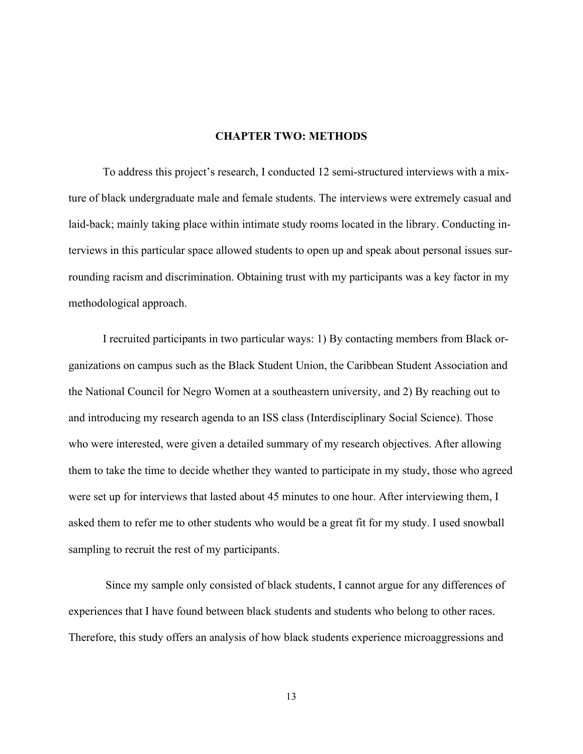#### **CHAPTER TWO: METHODS**

To address this project's research, I conducted 12 semi-structured interviews with a mixture of black undergraduate male and female students. The interviews were extremely casual and laid-back; mainly taking place within intimate study rooms located in the library. Conducting interviews in this particular space allowed students to open up and speak about personal issues surrounding racism and discrimination. Obtaining trust with my participants was a key factor in my methodological approach.

I recruited participants in two particular ways: 1) By contacting members from Black organizations on campus such as the Black Student Union, the Caribbean Student Association and the National Council for Negro Women at a southeastern university, and 2) By reaching out to and introducing my research agenda to an ISS class (Interdisciplinary Social Science). Those who were interested, were given a detailed summary of my research objectives. After allowing them to take the time to decide whether they wanted to participate in my study, those who agreed were set up for interviews that lasted about 45 minutes to one hour. After interviewing them, I asked them to refer me to other students who would be a great fit for my study. I used snowball sampling to recruit the rest of my participants.

Since my sample only consisted of black students, I cannot argue for any differences of experiences that I have found between black students and students who belong to other races. Therefore, this study offers an analysis of how black students experience microaggressions and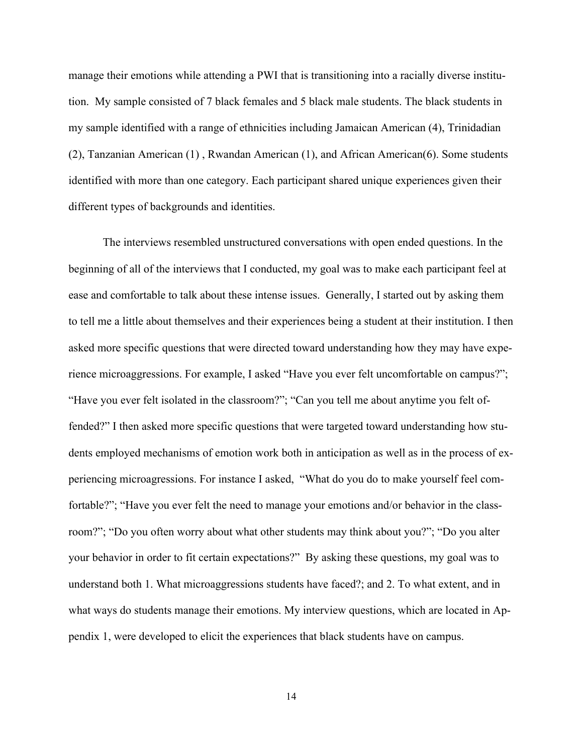manage their emotions while attending a PWI that is transitioning into a racially diverse institution. My sample consisted of 7 black females and 5 black male students. The black students in my sample identified with a range of ethnicities including Jamaican American (4), Trinidadian (2), Tanzanian American (1) , Rwandan American (1), and African American(6). Some students identified with more than one category. Each participant shared unique experiences given their different types of backgrounds and identities.

The interviews resembled unstructured conversations with open ended questions. In the beginning of all of the interviews that I conducted, my goal was to make each participant feel at ease and comfortable to talk about these intense issues. Generally, I started out by asking them to tell me a little about themselves and their experiences being a student at their institution. I then asked more specific questions that were directed toward understanding how they may have experience microaggressions. For example, I asked "Have you ever felt uncomfortable on campus?"; "Have you ever felt isolated in the classroom?"; "Can you tell me about anytime you felt offended?" I then asked more specific questions that were targeted toward understanding how students employed mechanisms of emotion work both in anticipation as well as in the process of experiencing microagressions. For instance I asked, "What do you do to make yourself feel comfortable?"; "Have you ever felt the need to manage your emotions and/or behavior in the classroom?"; "Do you often worry about what other students may think about you?"; "Do you alter your behavior in order to fit certain expectations?" By asking these questions, my goal was to understand both 1. What microaggressions students have faced?; and 2. To what extent, and in what ways do students manage their emotions. My interview questions, which are located in Appendix 1, were developed to elicit the experiences that black students have on campus.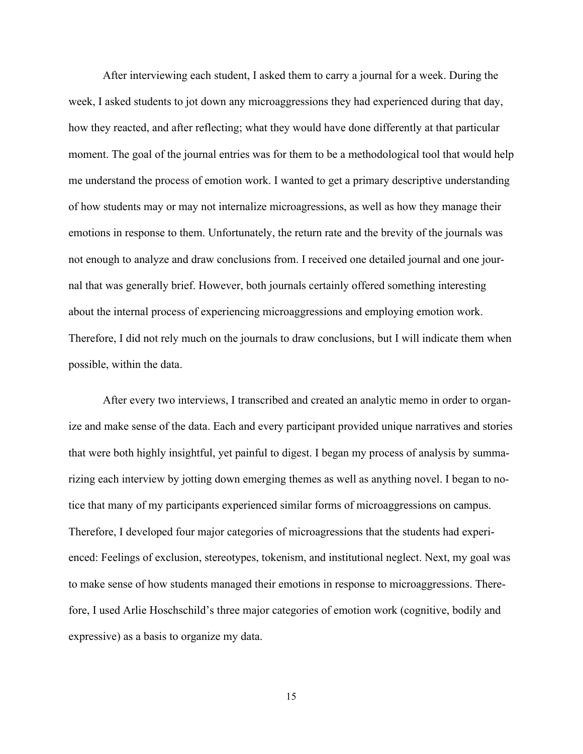After interviewing each student, I asked them to carry a journal for a week. During the week, I asked students to jot down any microaggressions they had experienced during that day, how they reacted, and after reflecting; what they would have done differently at that particular moment. The goal of the journal entries was for them to be a methodological tool that would help me understand the process of emotion work. I wanted to get a primary descriptive understanding of how students may or may not internalize microagressions, as well as how they manage their emotions in response to them. Unfortunately, the return rate and the brevity of the journals was not enough to analyze and draw conclusions from. I received one detailed journal and one journal that was generally brief. However, both journals certainly offered something interesting about the internal process of experiencing microaggressions and employing emotion work. Therefore, I did not rely much on the journals to draw conclusions, but I will indicate them when possible, within the data.

After every two interviews, I transcribed and created an analytic memo in order to organize and make sense of the data. Each and every participant provided unique narratives and stories that were both highly insightful, yet painful to digest. I began my process of analysis by summarizing each interview by jotting down emerging themes as well as anything novel. I began to notice that many of my participants experienced similar forms of microaggressions on campus. Therefore, I developed four major categories of microagressions that the students had experienced: Feelings of exclusion, stereotypes, tokenism, and institutional neglect. Next, my goal was to make sense of how students managed their emotions in response to microaggressions. Therefore, I used Arlie Hoschschild's three major categories of emotion work (cognitive, bodily and expressive) as a basis to organize my data.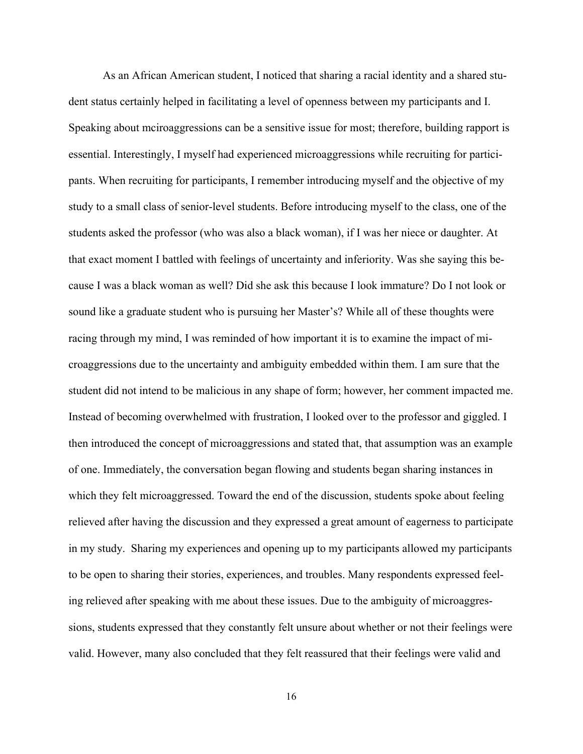As an African American student, I noticed that sharing a racial identity and a shared student status certainly helped in facilitating a level of openness between my participants and I. Speaking about mciroaggressions can be a sensitive issue for most; therefore, building rapport is essential. Interestingly, I myself had experienced microaggressions while recruiting for participants. When recruiting for participants, I remember introducing myself and the objective of my study to a small class of senior-level students. Before introducing myself to the class, one of the students asked the professor (who was also a black woman), if I was her niece or daughter. At that exact moment I battled with feelings of uncertainty and inferiority. Was she saying this because I was a black woman as well? Did she ask this because I look immature? Do I not look or sound like a graduate student who is pursuing her Master's? While all of these thoughts were racing through my mind, I was reminded of how important it is to examine the impact of microaggressions due to the uncertainty and ambiguity embedded within them. I am sure that the student did not intend to be malicious in any shape of form; however, her comment impacted me. Instead of becoming overwhelmed with frustration, I looked over to the professor and giggled. I then introduced the concept of microaggressions and stated that, that assumption was an example of one. Immediately, the conversation began flowing and students began sharing instances in which they felt microaggressed. Toward the end of the discussion, students spoke about feeling relieved after having the discussion and they expressed a great amount of eagerness to participate in my study. Sharing my experiences and opening up to my participants allowed my participants to be open to sharing their stories, experiences, and troubles. Many respondents expressed feeling relieved after speaking with me about these issues. Due to the ambiguity of microaggressions, students expressed that they constantly felt unsure about whether or not their feelings were valid. However, many also concluded that they felt reassured that their feelings were valid and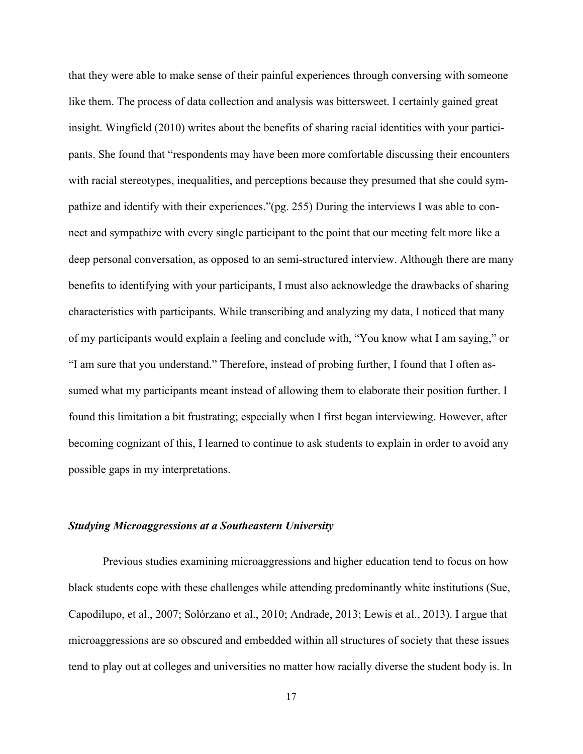that they were able to make sense of their painful experiences through conversing with someone like them. The process of data collection and analysis was bittersweet. I certainly gained great insight. Wingfield (2010) writes about the benefits of sharing racial identities with your participants. She found that "respondents may have been more comfortable discussing their encounters with racial stereotypes, inequalities, and perceptions because they presumed that she could sympathize and identify with their experiences."(pg. 255) During the interviews I was able to connect and sympathize with every single participant to the point that our meeting felt more like a deep personal conversation, as opposed to an semi-structured interview. Although there are many benefits to identifying with your participants, I must also acknowledge the drawbacks of sharing characteristics with participants. While transcribing and analyzing my data, I noticed that many of my participants would explain a feeling and conclude with, "You know what I am saying," or "I am sure that you understand." Therefore, instead of probing further, I found that I often assumed what my participants meant instead of allowing them to elaborate their position further. I found this limitation a bit frustrating; especially when I first began interviewing. However, after becoming cognizant of this, I learned to continue to ask students to explain in order to avoid any possible gaps in my interpretations.

## *Studying Microaggressions at a Southeastern University*

Previous studies examining microaggressions and higher education tend to focus on how black students cope with these challenges while attending predominantly white institutions (Sue, Capodilupo, et al., 2007; Solórzano et al., 2010; Andrade, 2013; Lewis et al., 2013). I argue that microaggressions are so obscured and embedded within all structures of society that these issues tend to play out at colleges and universities no matter how racially diverse the student body is. In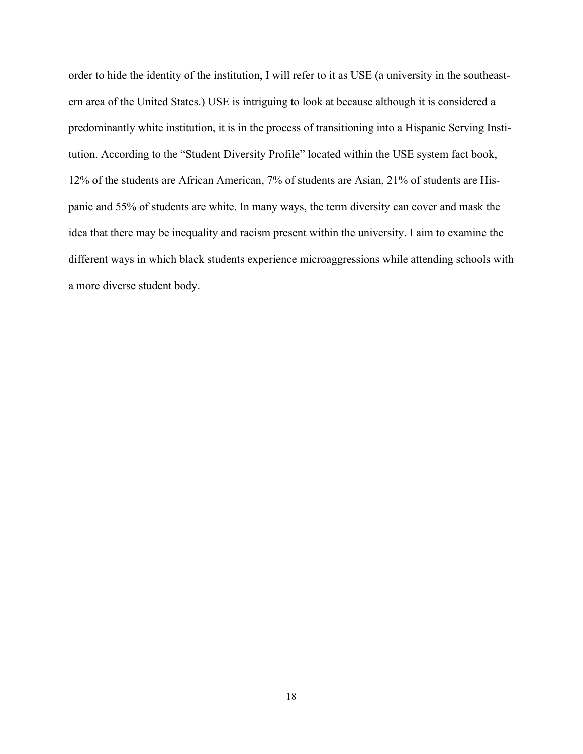order to hide the identity of the institution, I will refer to it as USE (a university in the southeastern area of the United States.) USE is intriguing to look at because although it is considered a predominantly white institution, it is in the process of transitioning into a Hispanic Serving Institution. According to the "Student Diversity Profile" located within the USE system fact book, 12% of the students are African American, 7% of students are Asian, 21% of students are Hispanic and 55% of students are white. In many ways, the term diversity can cover and mask the idea that there may be inequality and racism present within the university. I aim to examine the different ways in which black students experience microaggressions while attending schools with a more diverse student body.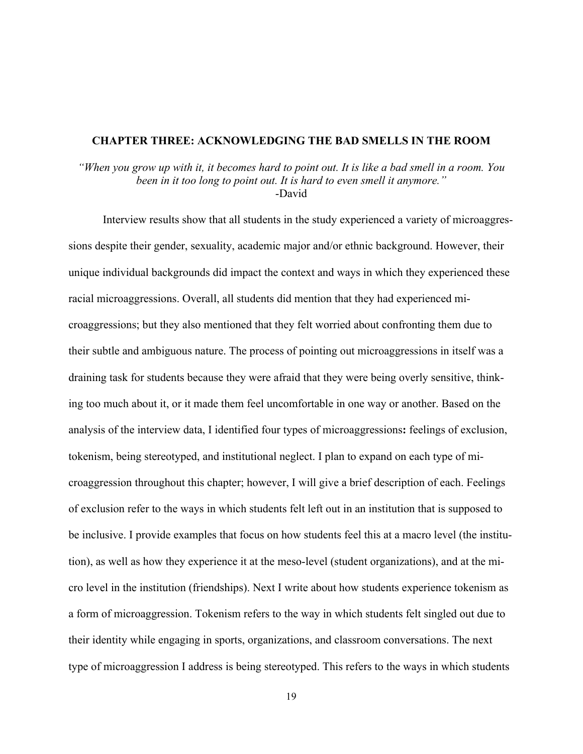#### **CHAPTER THREE: ACKNOWLEDGING THE BAD SMELLS IN THE ROOM**

"When you grow up with it, it becomes hard to point out. It is like a bad smell in a room. You *been in it too long to point out. It is hard to even smell it anymore."* -David

Interview results show that all students in the study experienced a variety of microaggressions despite their gender, sexuality, academic major and/or ethnic background. However, their unique individual backgrounds did impact the context and ways in which they experienced these racial microaggressions. Overall, all students did mention that they had experienced microaggressions; but they also mentioned that they felt worried about confronting them due to their subtle and ambiguous nature. The process of pointing out microaggressions in itself was a draining task for students because they were afraid that they were being overly sensitive, thinking too much about it, or it made them feel uncomfortable in one way or another. Based on the analysis of the interview data, I identified four types of microaggressions**:** feelings of exclusion, tokenism, being stereotyped, and institutional neglect. I plan to expand on each type of microaggression throughout this chapter; however, I will give a brief description of each. Feelings of exclusion refer to the ways in which students felt left out in an institution that is supposed to be inclusive. I provide examples that focus on how students feel this at a macro level (the institution), as well as how they experience it at the meso-level (student organizations), and at the micro level in the institution (friendships). Next I write about how students experience tokenism as a form of microaggression. Tokenism refers to the way in which students felt singled out due to their identity while engaging in sports, organizations, and classroom conversations. The next type of microaggression I address is being stereotyped. This refers to the ways in which students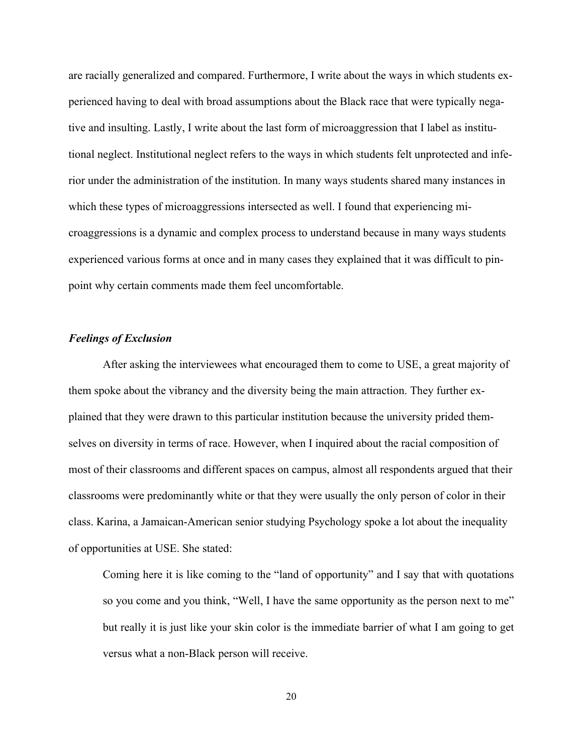are racially generalized and compared. Furthermore, I write about the ways in which students experienced having to deal with broad assumptions about the Black race that were typically negative and insulting. Lastly, I write about the last form of microaggression that I label as institutional neglect. Institutional neglect refers to the ways in which students felt unprotected and inferior under the administration of the institution. In many ways students shared many instances in which these types of microaggressions intersected as well. I found that experiencing microaggressions is a dynamic and complex process to understand because in many ways students experienced various forms at once and in many cases they explained that it was difficult to pinpoint why certain comments made them feel uncomfortable.

## *Feelings of Exclusion*

After asking the interviewees what encouraged them to come to USE, a great majority of them spoke about the vibrancy and the diversity being the main attraction. They further explained that they were drawn to this particular institution because the university prided themselves on diversity in terms of race. However, when I inquired about the racial composition of most of their classrooms and different spaces on campus, almost all respondents argued that their classrooms were predominantly white or that they were usually the only person of color in their class. Karina, a Jamaican-American senior studying Psychology spoke a lot about the inequality of opportunities at USE. She stated:

Coming here it is like coming to the "land of opportunity" and I say that with quotations so you come and you think, "Well, I have the same opportunity as the person next to me" but really it is just like your skin color is the immediate barrier of what I am going to get versus what a non-Black person will receive.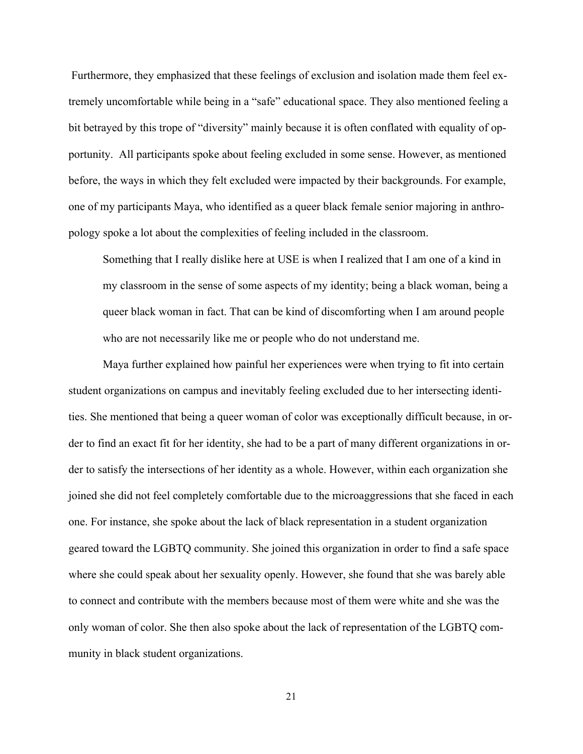Furthermore, they emphasized that these feelings of exclusion and isolation made them feel extremely uncomfortable while being in a "safe" educational space. They also mentioned feeling a bit betrayed by this trope of "diversity" mainly because it is often conflated with equality of opportunity. All participants spoke about feeling excluded in some sense. However, as mentioned before, the ways in which they felt excluded were impacted by their backgrounds. For example, one of my participants Maya, who identified as a queer black female senior majoring in anthropology spoke a lot about the complexities of feeling included in the classroom.

Something that I really dislike here at USE is when I realized that I am one of a kind in my classroom in the sense of some aspects of my identity; being a black woman, being a queer black woman in fact. That can be kind of discomforting when I am around people who are not necessarily like me or people who do not understand me.

Maya further explained how painful her experiences were when trying to fit into certain student organizations on campus and inevitably feeling excluded due to her intersecting identities. She mentioned that being a queer woman of color was exceptionally difficult because, in order to find an exact fit for her identity, she had to be a part of many different organizations in order to satisfy the intersections of her identity as a whole. However, within each organization she joined she did not feel completely comfortable due to the microaggressions that she faced in each one. For instance, she spoke about the lack of black representation in a student organization geared toward the LGBTQ community. She joined this organization in order to find a safe space where she could speak about her sexuality openly. However, she found that she was barely able to connect and contribute with the members because most of them were white and she was the only woman of color. She then also spoke about the lack of representation of the LGBTQ community in black student organizations.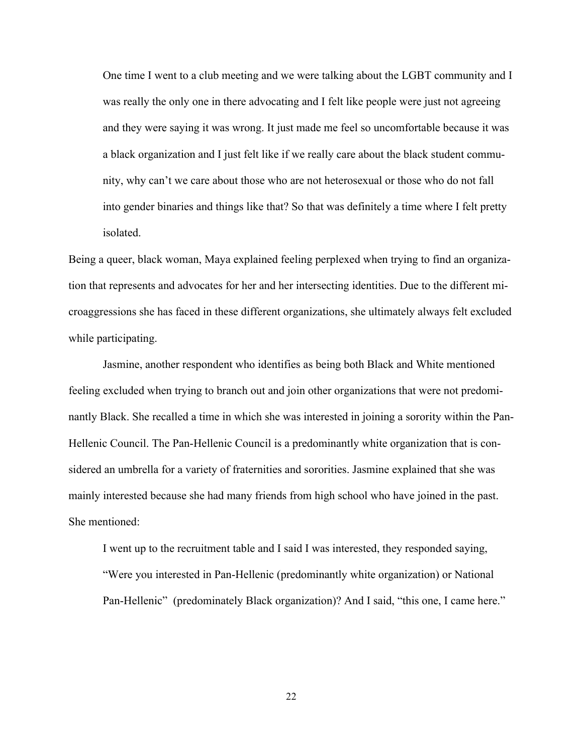One time I went to a club meeting and we were talking about the LGBT community and I was really the only one in there advocating and I felt like people were just not agreeing and they were saying it was wrong. It just made me feel so uncomfortable because it was a black organization and I just felt like if we really care about the black student community, why can't we care about those who are not heterosexual or those who do not fall into gender binaries and things like that? So that was definitely a time where I felt pretty isolated.

Being a queer, black woman, Maya explained feeling perplexed when trying to find an organization that represents and advocates for her and her intersecting identities. Due to the different microaggressions she has faced in these different organizations, she ultimately always felt excluded while participating.

Jasmine, another respondent who identifies as being both Black and White mentioned feeling excluded when trying to branch out and join other organizations that were not predominantly Black. She recalled a time in which she was interested in joining a sorority within the Pan-Hellenic Council. The Pan-Hellenic Council is a predominantly white organization that is considered an umbrella for a variety of fraternities and sororities. Jasmine explained that she was mainly interested because she had many friends from high school who have joined in the past. She mentioned:

I went up to the recruitment table and I said I was interested, they responded saying, "Were you interested in Pan-Hellenic (predominantly white organization) or National Pan-Hellenic" (predominately Black organization)? And I said, "this one, I came here."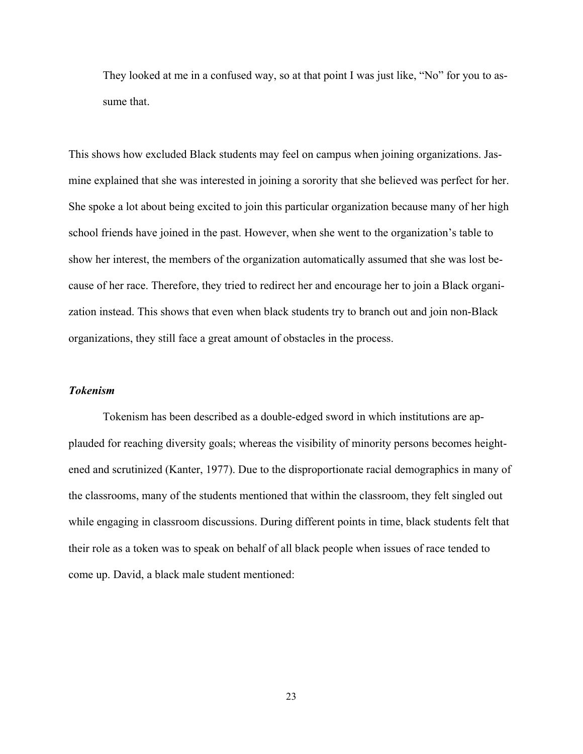They looked at me in a confused way, so at that point I was just like, "No" for you to assume that.

This shows how excluded Black students may feel on campus when joining organizations. Jasmine explained that she was interested in joining a sorority that she believed was perfect for her. She spoke a lot about being excited to join this particular organization because many of her high school friends have joined in the past. However, when she went to the organization's table to show her interest, the members of the organization automatically assumed that she was lost because of her race. Therefore, they tried to redirect her and encourage her to join a Black organization instead. This shows that even when black students try to branch out and join non-Black organizations, they still face a great amount of obstacles in the process.

#### *Tokenism*

Tokenism has been described as a double-edged sword in which institutions are applauded for reaching diversity goals; whereas the visibility of minority persons becomes heightened and scrutinized (Kanter, 1977). Due to the disproportionate racial demographics in many of the classrooms, many of the students mentioned that within the classroom, they felt singled out while engaging in classroom discussions. During different points in time, black students felt that their role as a token was to speak on behalf of all black people when issues of race tended to come up. David, a black male student mentioned: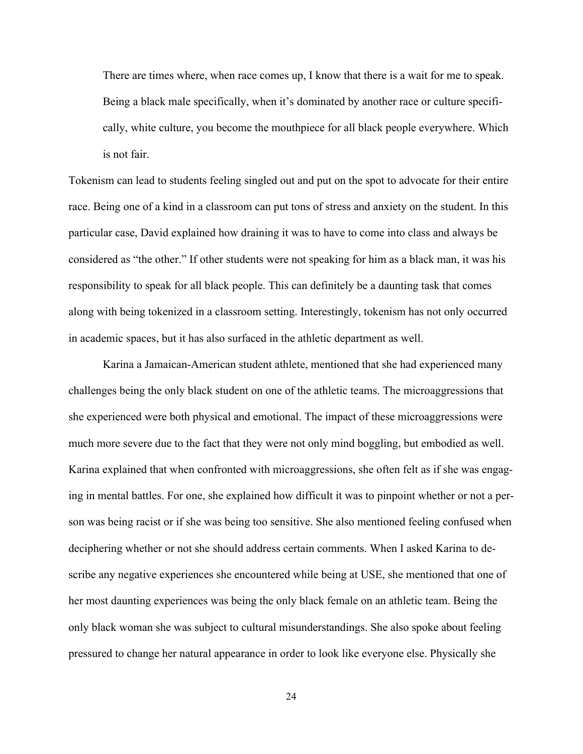There are times where, when race comes up, I know that there is a wait for me to speak. Being a black male specifically, when it's dominated by another race or culture specifically, white culture, you become the mouthpiece for all black people everywhere. Which is not fair.

Tokenism can lead to students feeling singled out and put on the spot to advocate for their entire race. Being one of a kind in a classroom can put tons of stress and anxiety on the student. In this particular case, David explained how draining it was to have to come into class and always be considered as "the other." If other students were not speaking for him as a black man, it was his responsibility to speak for all black people. This can definitely be a daunting task that comes along with being tokenized in a classroom setting. Interestingly, tokenism has not only occurred in academic spaces, but it has also surfaced in the athletic department as well.

Karina a Jamaican-American student athlete, mentioned that she had experienced many challenges being the only black student on one of the athletic teams. The microaggressions that she experienced were both physical and emotional. The impact of these microaggressions were much more severe due to the fact that they were not only mind boggling, but embodied as well. Karina explained that when confronted with microaggressions, she often felt as if she was engaging in mental battles. For one, she explained how difficult it was to pinpoint whether or not a person was being racist or if she was being too sensitive. She also mentioned feeling confused when deciphering whether or not she should address certain comments. When I asked Karina to describe any negative experiences she encountered while being at USE, she mentioned that one of her most daunting experiences was being the only black female on an athletic team. Being the only black woman she was subject to cultural misunderstandings. She also spoke about feeling pressured to change her natural appearance in order to look like everyone else. Physically she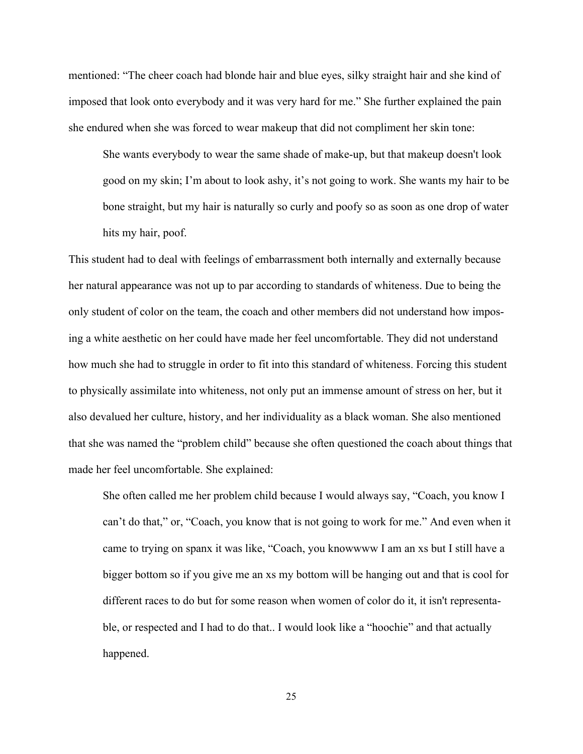mentioned: "The cheer coach had blonde hair and blue eyes, silky straight hair and she kind of imposed that look onto everybody and it was very hard for me." She further explained the pain she endured when she was forced to wear makeup that did not compliment her skin tone:

She wants everybody to wear the same shade of make-up, but that makeup doesn't look good on my skin; I'm about to look ashy, it's not going to work. She wants my hair to be bone straight, but my hair is naturally so curly and poofy so as soon as one drop of water hits my hair, poof.

This student had to deal with feelings of embarrassment both internally and externally because her natural appearance was not up to par according to standards of whiteness. Due to being the only student of color on the team, the coach and other members did not understand how imposing a white aesthetic on her could have made her feel uncomfortable. They did not understand how much she had to struggle in order to fit into this standard of whiteness. Forcing this student to physically assimilate into whiteness, not only put an immense amount of stress on her, but it also devalued her culture, history, and her individuality as a black woman. She also mentioned that she was named the "problem child" because she often questioned the coach about things that made her feel uncomfortable. She explained:

She often called me her problem child because I would always say, "Coach, you know I can't do that," or, "Coach, you know that is not going to work for me." And even when it came to trying on spanx it was like, "Coach, you knowwww I am an xs but I still have a bigger bottom so if you give me an xs my bottom will be hanging out and that is cool for different races to do but for some reason when women of color do it, it isn't representable, or respected and I had to do that.. I would look like a "hoochie" and that actually happened.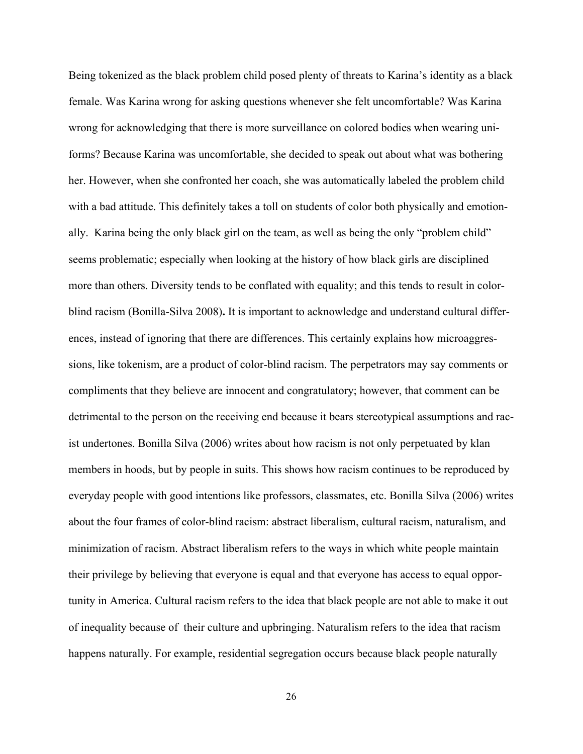Being tokenized as the black problem child posed plenty of threats to Karina's identity as a black female. Was Karina wrong for asking questions whenever she felt uncomfortable? Was Karina wrong for acknowledging that there is more surveillance on colored bodies when wearing uniforms? Because Karina was uncomfortable, she decided to speak out about what was bothering her. However, when she confronted her coach, she was automatically labeled the problem child with a bad attitude. This definitely takes a toll on students of color both physically and emotionally. Karina being the only black girl on the team, as well as being the only "problem child" seems problematic; especially when looking at the history of how black girls are disciplined more than others. Diversity tends to be conflated with equality; and this tends to result in colorblind racism (Bonilla-Silva 2008)**.** It is important to acknowledge and understand cultural differences, instead of ignoring that there are differences. This certainly explains how microaggressions, like tokenism, are a product of color-blind racism. The perpetrators may say comments or compliments that they believe are innocent and congratulatory; however, that comment can be detrimental to the person on the receiving end because it bears stereotypical assumptions and racist undertones. Bonilla Silva (2006) writes about how racism is not only perpetuated by klan members in hoods, but by people in suits. This shows how racism continues to be reproduced by everyday people with good intentions like professors, classmates, etc. Bonilla Silva (2006) writes about the four frames of color-blind racism: abstract liberalism, cultural racism, naturalism, and minimization of racism. Abstract liberalism refers to the ways in which white people maintain their privilege by believing that everyone is equal and that everyone has access to equal opportunity in America. Cultural racism refers to the idea that black people are not able to make it out of inequality because of their culture and upbringing. Naturalism refers to the idea that racism happens naturally. For example, residential segregation occurs because black people naturally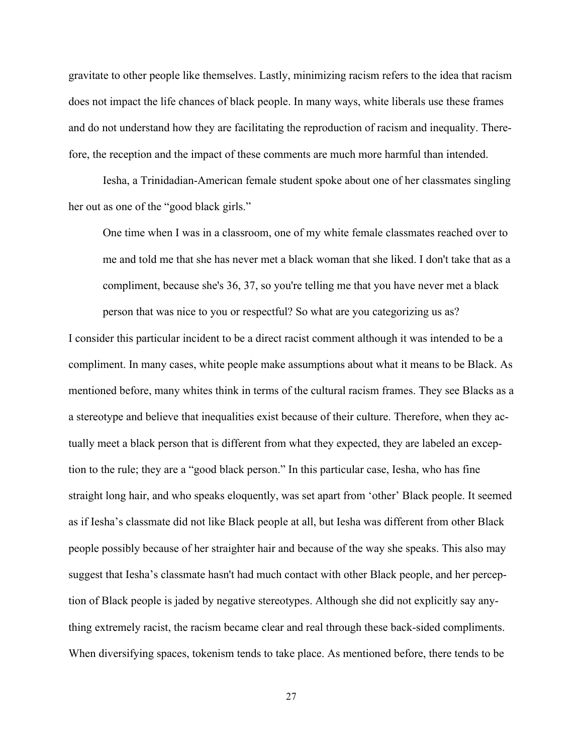gravitate to other people like themselves. Lastly, minimizing racism refers to the idea that racism does not impact the life chances of black people. In many ways, white liberals use these frames and do not understand how they are facilitating the reproduction of racism and inequality. Therefore, the reception and the impact of these comments are much more harmful than intended.

Iesha, a Trinidadian-American female student spoke about one of her classmates singling her out as one of the "good black girls."

One time when I was in a classroom, one of my white female classmates reached over to me and told me that she has never met a black woman that she liked. I don't take that as a compliment, because she's 36, 37, so you're telling me that you have never met a black person that was nice to you or respectful? So what are you categorizing us as?

I consider this particular incident to be a direct racist comment although it was intended to be a compliment. In many cases, white people make assumptions about what it means to be Black. As mentioned before, many whites think in terms of the cultural racism frames. They see Blacks as a a stereotype and believe that inequalities exist because of their culture. Therefore, when they actually meet a black person that is different from what they expected, they are labeled an exception to the rule; they are a "good black person." In this particular case, Iesha, who has fine straight long hair, and who speaks eloquently, was set apart from 'other' Black people. It seemed as if Iesha's classmate did not like Black people at all, but Iesha was different from other Black people possibly because of her straighter hair and because of the way she speaks. This also may suggest that Iesha's classmate hasn't had much contact with other Black people, and her perception of Black people is jaded by negative stereotypes. Although she did not explicitly say anything extremely racist, the racism became clear and real through these back-sided compliments. When diversifying spaces, tokenism tends to take place. As mentioned before, there tends to be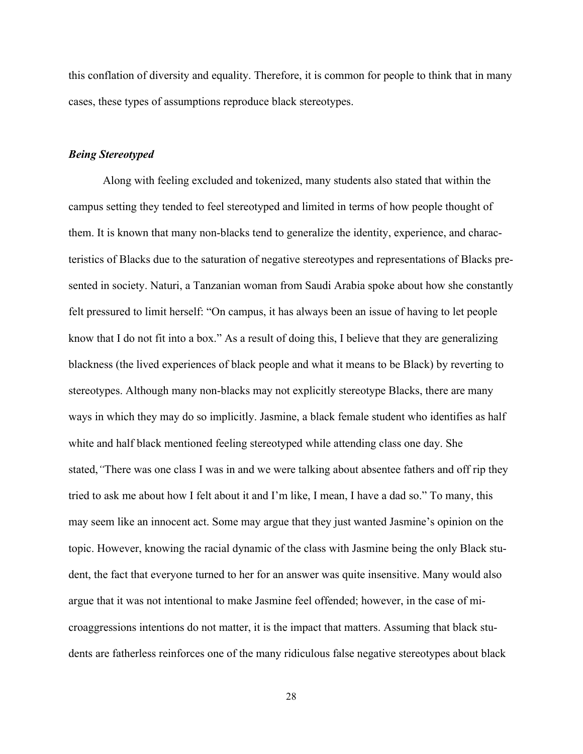this conflation of diversity and equality. Therefore, it is common for people to think that in many cases, these types of assumptions reproduce black stereotypes.

#### *Being Stereotyped*

Along with feeling excluded and tokenized, many students also stated that within the campus setting they tended to feel stereotyped and limited in terms of how people thought of them. It is known that many non-blacks tend to generalize the identity, experience, and characteristics of Blacks due to the saturation of negative stereotypes and representations of Blacks presented in society. Naturi, a Tanzanian woman from Saudi Arabia spoke about how she constantly felt pressured to limit herself: "On campus, it has always been an issue of having to let people know that I do not fit into a box." As a result of doing this, I believe that they are generalizing blackness (the lived experiences of black people and what it means to be Black) by reverting to stereotypes. Although many non-blacks may not explicitly stereotype Blacks, there are many ways in which they may do so implicitly. Jasmine, a black female student who identifies as half white and half black mentioned feeling stereotyped while attending class one day. She stated,*"*There was one class I was in and we were talking about absentee fathers and off rip they tried to ask me about how I felt about it and I'm like, I mean, I have a dad so." To many, this may seem like an innocent act. Some may argue that they just wanted Jasmine's opinion on the topic. However, knowing the racial dynamic of the class with Jasmine being the only Black student, the fact that everyone turned to her for an answer was quite insensitive. Many would also argue that it was not intentional to make Jasmine feel offended; however, in the case of microaggressions intentions do not matter, it is the impact that matters. Assuming that black students are fatherless reinforces one of the many ridiculous false negative stereotypes about black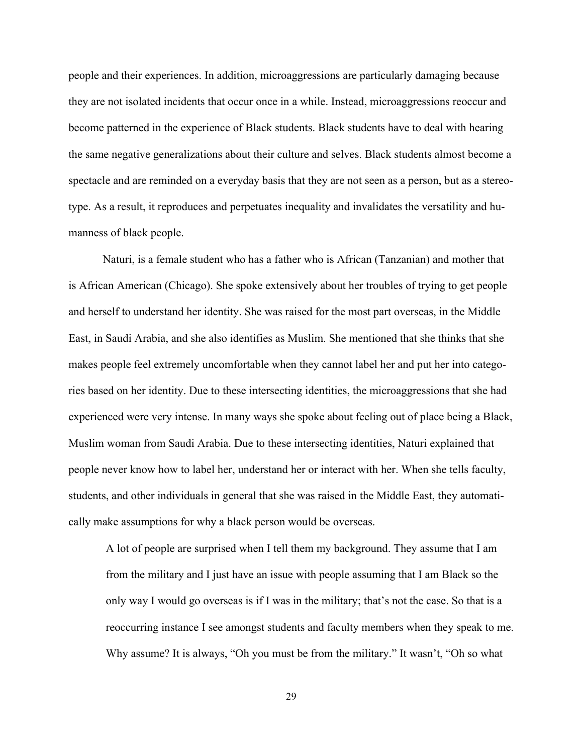people and their experiences. In addition, microaggressions are particularly damaging because they are not isolated incidents that occur once in a while. Instead, microaggressions reoccur and become patterned in the experience of Black students. Black students have to deal with hearing the same negative generalizations about their culture and selves. Black students almost become a spectacle and are reminded on a everyday basis that they are not seen as a person, but as a stereotype. As a result, it reproduces and perpetuates inequality and invalidates the versatility and humanness of black people.

Naturi, is a female student who has a father who is African (Tanzanian) and mother that is African American (Chicago). She spoke extensively about her troubles of trying to get people and herself to understand her identity. She was raised for the most part overseas, in the Middle East, in Saudi Arabia, and she also identifies as Muslim. She mentioned that she thinks that she makes people feel extremely uncomfortable when they cannot label her and put her into categories based on her identity. Due to these intersecting identities, the microaggressions that she had experienced were very intense. In many ways she spoke about feeling out of place being a Black, Muslim woman from Saudi Arabia. Due to these intersecting identities, Naturi explained that people never know how to label her, understand her or interact with her. When she tells faculty, students, and other individuals in general that she was raised in the Middle East, they automatically make assumptions for why a black person would be overseas.

A lot of people are surprised when I tell them my background. They assume that I am from the military and I just have an issue with people assuming that I am Black so the only way I would go overseas is if I was in the military; that's not the case. So that is a reoccurring instance I see amongst students and faculty members when they speak to me. Why assume? It is always, "Oh you must be from the military." It wasn't, "Oh so what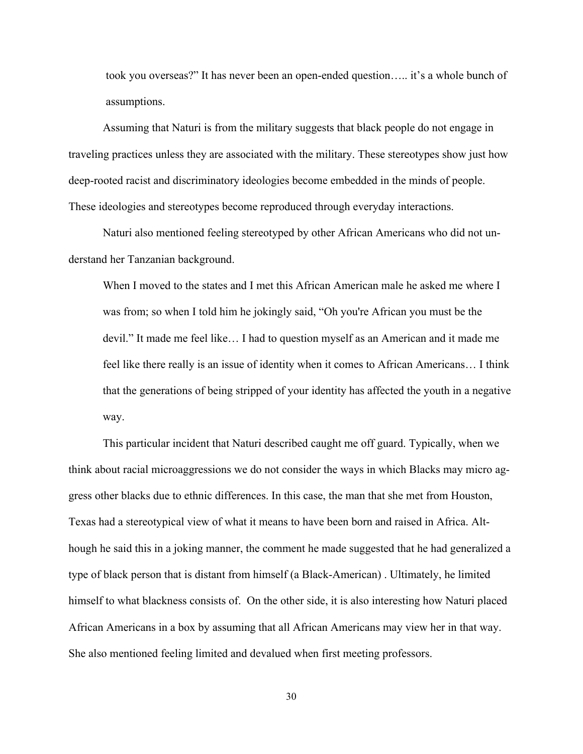took you overseas?" It has never been an open-ended question….. it's a whole bunch of assumptions.

Assuming that Naturi is from the military suggests that black people do not engage in traveling practices unless they are associated with the military. These stereotypes show just how deep-rooted racist and discriminatory ideologies become embedded in the minds of people. These ideologies and stereotypes become reproduced through everyday interactions.

Naturi also mentioned feeling stereotyped by other African Americans who did not understand her Tanzanian background.

When I moved to the states and I met this African American male he asked me where I was from; so when I told him he jokingly said, "Oh you're African you must be the devil." It made me feel like… I had to question myself as an American and it made me feel like there really is an issue of identity when it comes to African Americans… I think that the generations of being stripped of your identity has affected the youth in a negative way.

This particular incident that Naturi described caught me off guard. Typically, when we think about racial microaggressions we do not consider the ways in which Blacks may micro aggress other blacks due to ethnic differences. In this case, the man that she met from Houston, Texas had a stereotypical view of what it means to have been born and raised in Africa. Although he said this in a joking manner, the comment he made suggested that he had generalized a type of black person that is distant from himself (a Black-American) . Ultimately, he limited himself to what blackness consists of. On the other side, it is also interesting how Naturi placed African Americans in a box by assuming that all African Americans may view her in that way. She also mentioned feeling limited and devalued when first meeting professors.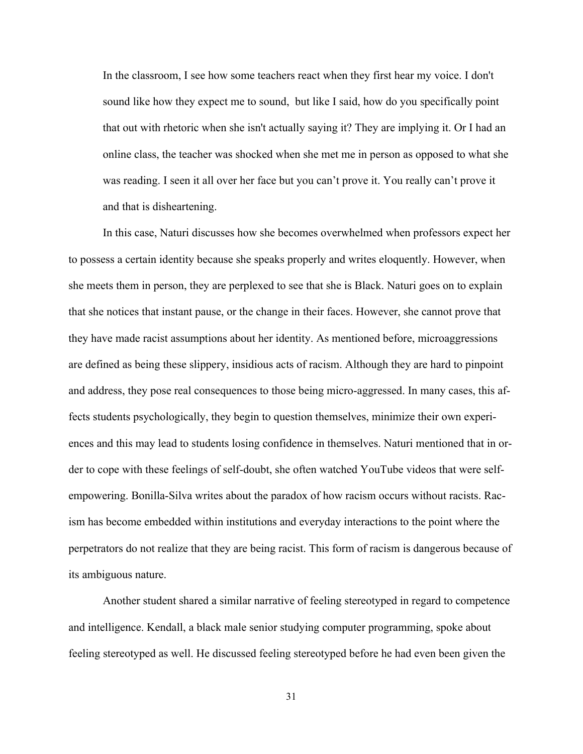In the classroom, I see how some teachers react when they first hear my voice. I don't sound like how they expect me to sound, but like I said, how do you specifically point that out with rhetoric when she isn't actually saying it? They are implying it. Or I had an online class, the teacher was shocked when she met me in person as opposed to what she was reading. I seen it all over her face but you can't prove it. You really can't prove it and that is disheartening.

In this case, Naturi discusses how she becomes overwhelmed when professors expect her to possess a certain identity because she speaks properly and writes eloquently. However, when she meets them in person, they are perplexed to see that she is Black. Naturi goes on to explain that she notices that instant pause, or the change in their faces. However, she cannot prove that they have made racist assumptions about her identity. As mentioned before, microaggressions are defined as being these slippery, insidious acts of racism. Although they are hard to pinpoint and address, they pose real consequences to those being micro-aggressed. In many cases, this affects students psychologically, they begin to question themselves, minimize their own experiences and this may lead to students losing confidence in themselves. Naturi mentioned that in order to cope with these feelings of self-doubt, she often watched YouTube videos that were selfempowering. Bonilla-Silva writes about the paradox of how racism occurs without racists. Racism has become embedded within institutions and everyday interactions to the point where the perpetrators do not realize that they are being racist. This form of racism is dangerous because of its ambiguous nature.

Another student shared a similar narrative of feeling stereotyped in regard to competence and intelligence. Kendall, a black male senior studying computer programming, spoke about feeling stereotyped as well. He discussed feeling stereotyped before he had even been given the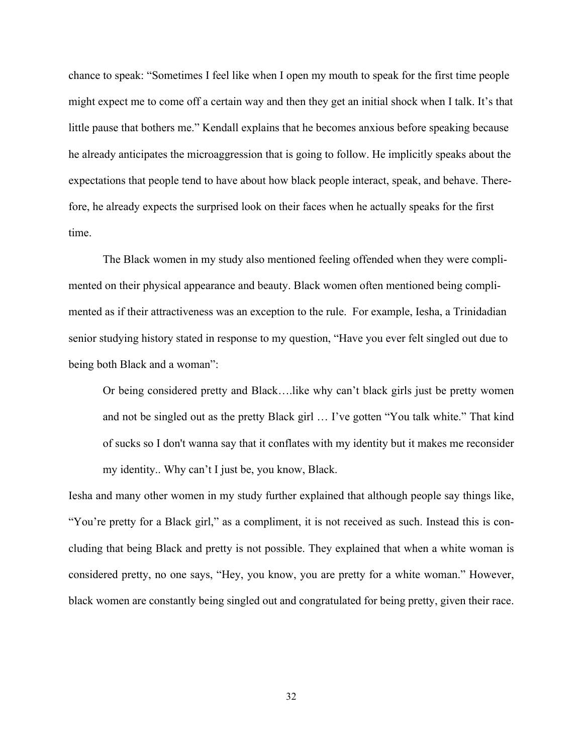chance to speak: "Sometimes I feel like when I open my mouth to speak for the first time people might expect me to come off a certain way and then they get an initial shock when I talk. It's that little pause that bothers me." Kendall explains that he becomes anxious before speaking because he already anticipates the microaggression that is going to follow. He implicitly speaks about the expectations that people tend to have about how black people interact, speak, and behave. Therefore, he already expects the surprised look on their faces when he actually speaks for the first time.

The Black women in my study also mentioned feeling offended when they were complimented on their physical appearance and beauty. Black women often mentioned being complimented as if their attractiveness was an exception to the rule. For example, Iesha, a Trinidadian senior studying history stated in response to my question, "Have you ever felt singled out due to being both Black and a woman":

Or being considered pretty and Black….like why can't black girls just be pretty women and not be singled out as the pretty Black girl … I've gotten "You talk white." That kind of sucks so I don't wanna say that it conflates with my identity but it makes me reconsider my identity.. Why can't I just be, you know, Black.

Iesha and many other women in my study further explained that although people say things like, "You're pretty for a Black girl," as a compliment, it is not received as such. Instead this is concluding that being Black and pretty is not possible. They explained that when a white woman is considered pretty, no one says, "Hey, you know, you are pretty for a white woman." However, black women are constantly being singled out and congratulated for being pretty, given their race.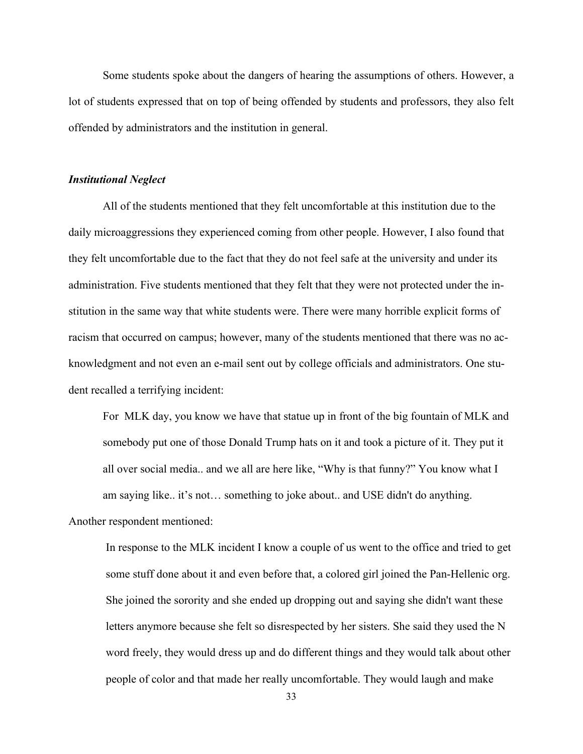Some students spoke about the dangers of hearing the assumptions of others. However, a lot of students expressed that on top of being offended by students and professors, they also felt offended by administrators and the institution in general.

#### *Institutional Neglect*

All of the students mentioned that they felt uncomfortable at this institution due to the daily microaggressions they experienced coming from other people. However, I also found that they felt uncomfortable due to the fact that they do not feel safe at the university and under its administration. Five students mentioned that they felt that they were not protected under the institution in the same way that white students were. There were many horrible explicit forms of racism that occurred on campus; however, many of the students mentioned that there was no acknowledgment and not even an e-mail sent out by college officials and administrators. One student recalled a terrifying incident:

For MLK day, you know we have that statue up in front of the big fountain of MLK and somebody put one of those Donald Trump hats on it and took a picture of it. They put it all over social media.. and we all are here like, "Why is that funny?" You know what I am saying like.. it's not… something to joke about.. and USE didn't do anything.

Another respondent mentioned:

In response to the MLK incident I know a couple of us went to the office and tried to get some stuff done about it and even before that, a colored girl joined the Pan-Hellenic org. She joined the sorority and she ended up dropping out and saying she didn't want these letters anymore because she felt so disrespected by her sisters. She said they used the N word freely, they would dress up and do different things and they would talk about other people of color and that made her really uncomfortable. They would laugh and make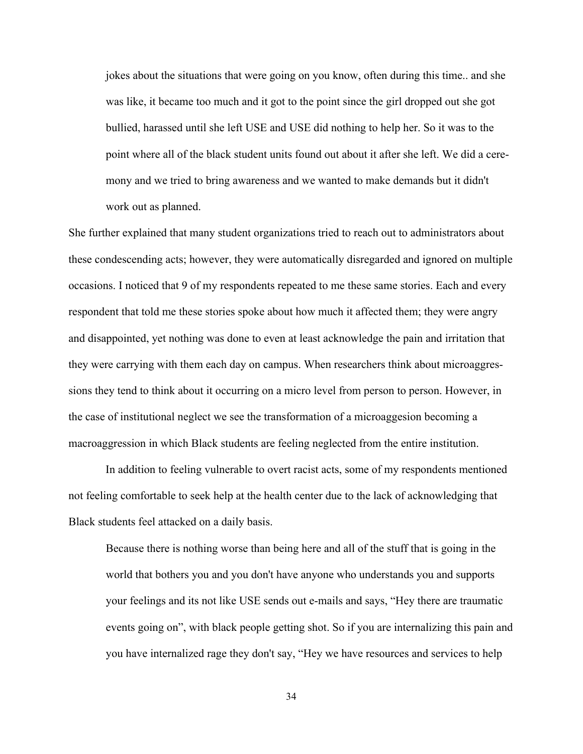jokes about the situations that were going on you know, often during this time.. and she was like, it became too much and it got to the point since the girl dropped out she got bullied, harassed until she left USE and USE did nothing to help her. So it was to the point where all of the black student units found out about it after she left. We did a ceremony and we tried to bring awareness and we wanted to make demands but it didn't work out as planned.

She further explained that many student organizations tried to reach out to administrators about these condescending acts; however, they were automatically disregarded and ignored on multiple occasions. I noticed that 9 of my respondents repeated to me these same stories. Each and every respondent that told me these stories spoke about how much it affected them; they were angry and disappointed, yet nothing was done to even at least acknowledge the pain and irritation that they were carrying with them each day on campus. When researchers think about microaggressions they tend to think about it occurring on a micro level from person to person. However, in the case of institutional neglect we see the transformation of a microaggesion becoming a macroaggression in which Black students are feeling neglected from the entire institution.

In addition to feeling vulnerable to overt racist acts, some of my respondents mentioned not feeling comfortable to seek help at the health center due to the lack of acknowledging that Black students feel attacked on a daily basis.

Because there is nothing worse than being here and all of the stuff that is going in the world that bothers you and you don't have anyone who understands you and supports your feelings and its not like USE sends out e-mails and says, "Hey there are traumatic events going on", with black people getting shot. So if you are internalizing this pain and you have internalized rage they don't say, "Hey we have resources and services to help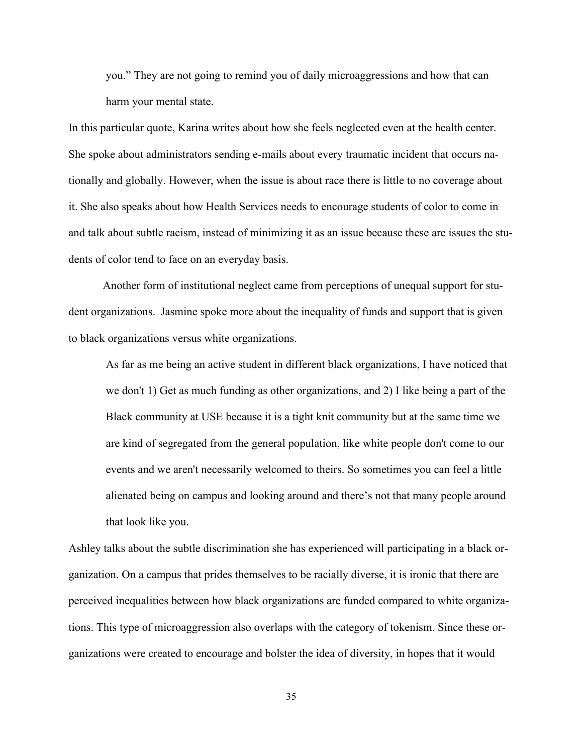you." They are not going to remind you of daily microaggressions and how that can harm your mental state.

In this particular quote, Karina writes about how she feels neglected even at the health center. She spoke about administrators sending e-mails about every traumatic incident that occurs nationally and globally. However, when the issue is about race there is little to no coverage about it. She also speaks about how Health Services needs to encourage students of color to come in and talk about subtle racism, instead of minimizing it as an issue because these are issues the students of color tend to face on an everyday basis.

Another form of institutional neglect came from perceptions of unequal support for student organizations. Jasmine spoke more about the inequality of funds and support that is given to black organizations versus white organizations.

As far as me being an active student in different black organizations, I have noticed that we don't 1) Get as much funding as other organizations, and 2) I like being a part of the Black community at USE because it is a tight knit community but at the same time we are kind of segregated from the general population, like white people don't come to our events and we aren't necessarily welcomed to theirs. So sometimes you can feel a little alienated being on campus and looking around and there's not that many people around that look like you.

Ashley talks about the subtle discrimination she has experienced will participating in a black organization. On a campus that prides themselves to be racially diverse, it is ironic that there are perceived inequalities between how black organizations are funded compared to white organizations. This type of microaggression also overlaps with the category of tokenism. Since these organizations were created to encourage and bolster the idea of diversity, in hopes that it would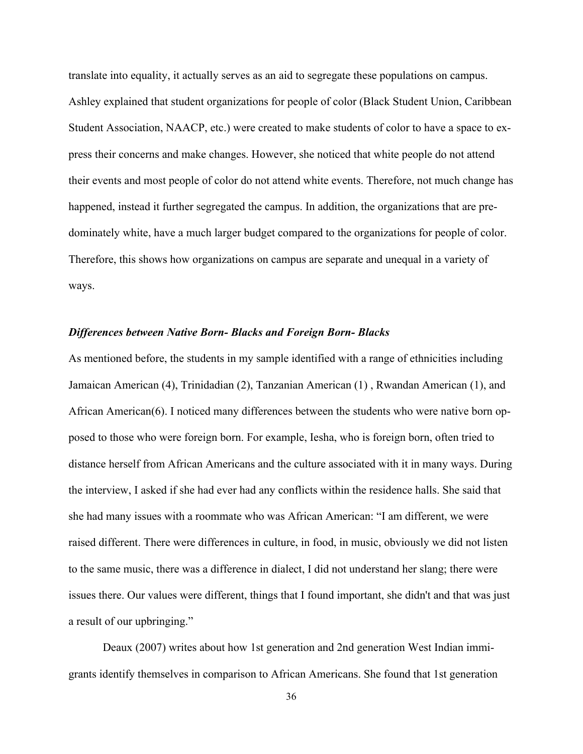translate into equality, it actually serves as an aid to segregate these populations on campus. Ashley explained that student organizations for people of color (Black Student Union, Caribbean Student Association, NAACP, etc.) were created to make students of color to have a space to express their concerns and make changes. However, she noticed that white people do not attend their events and most people of color do not attend white events. Therefore, not much change has happened, instead it further segregated the campus. In addition, the organizations that are predominately white, have a much larger budget compared to the organizations for people of color. Therefore, this shows how organizations on campus are separate and unequal in a variety of ways.

#### *Differences between Native Born- Blacks and Foreign Born- Blacks*

As mentioned before, the students in my sample identified with a range of ethnicities including Jamaican American (4), Trinidadian (2), Tanzanian American (1) , Rwandan American (1), and African American(6). I noticed many differences between the students who were native born opposed to those who were foreign born. For example, Iesha, who is foreign born, often tried to distance herself from African Americans and the culture associated with it in many ways. During the interview, I asked if she had ever had any conflicts within the residence halls. She said that she had many issues with a roommate who was African American: "I am different, we were raised different. There were differences in culture, in food, in music, obviously we did not listen to the same music, there was a difference in dialect, I did not understand her slang; there were issues there. Our values were different, things that I found important, she didn't and that was just a result of our upbringing."

Deaux (2007) writes about how 1st generation and 2nd generation West Indian immigrants identify themselves in comparison to African Americans. She found that 1st generation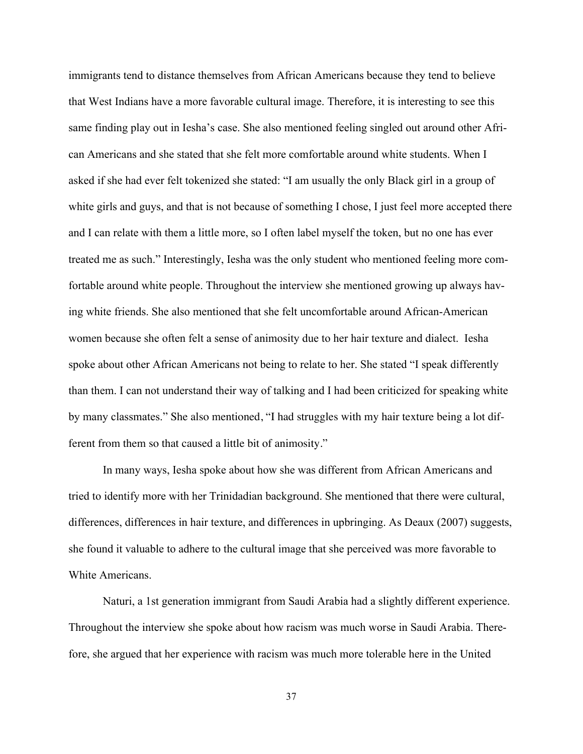immigrants tend to distance themselves from African Americans because they tend to believe that West Indians have a more favorable cultural image. Therefore, it is interesting to see this same finding play out in Iesha's case. She also mentioned feeling singled out around other African Americans and she stated that she felt more comfortable around white students. When I asked if she had ever felt tokenized she stated: "I am usually the only Black girl in a group of white girls and guys, and that is not because of something I chose, I just feel more accepted there and I can relate with them a little more, so I often label myself the token, but no one has ever treated me as such." Interestingly, Iesha was the only student who mentioned feeling more comfortable around white people. Throughout the interview she mentioned growing up always having white friends. She also mentioned that she felt uncomfortable around African-American women because she often felt a sense of animosity due to her hair texture and dialect. Iesha spoke about other African Americans not being to relate to her. She stated "I speak differently than them. I can not understand their way of talking and I had been criticized for speaking white by many classmates." She also mentioned, "I had struggles with my hair texture being a lot different from them so that caused a little bit of animosity."

In many ways, Iesha spoke about how she was different from African Americans and tried to identify more with her Trinidadian background. She mentioned that there were cultural, differences, differences in hair texture, and differences in upbringing. As Deaux (2007) suggests, she found it valuable to adhere to the cultural image that she perceived was more favorable to White Americans.

Naturi, a 1st generation immigrant from Saudi Arabia had a slightly different experience. Throughout the interview she spoke about how racism was much worse in Saudi Arabia. Therefore, she argued that her experience with racism was much more tolerable here in the United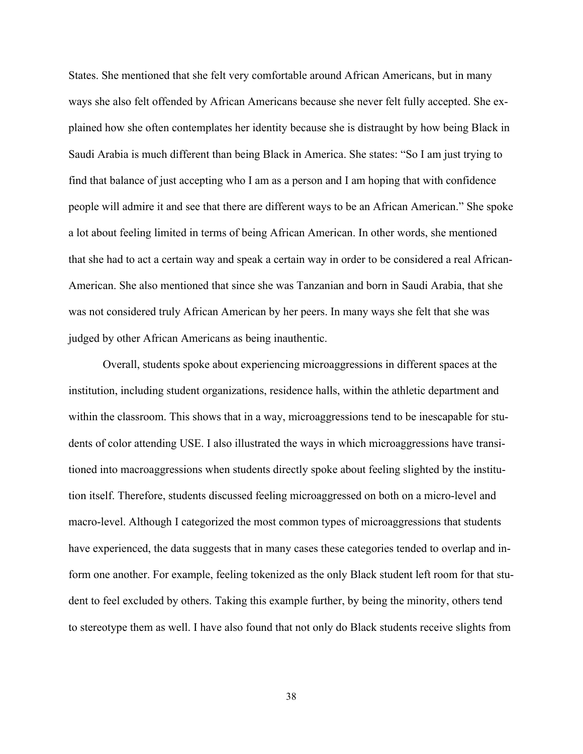States. She mentioned that she felt very comfortable around African Americans, but in many ways she also felt offended by African Americans because she never felt fully accepted. She explained how she often contemplates her identity because she is distraught by how being Black in Saudi Arabia is much different than being Black in America. She states: "So I am just trying to find that balance of just accepting who I am as a person and I am hoping that with confidence people will admire it and see that there are different ways to be an African American." She spoke a lot about feeling limited in terms of being African American. In other words, she mentioned that she had to act a certain way and speak a certain way in order to be considered a real African-American. She also mentioned that since she was Tanzanian and born in Saudi Arabia, that she was not considered truly African American by her peers. In many ways she felt that she was judged by other African Americans as being inauthentic.

Overall, students spoke about experiencing microaggressions in different spaces at the institution, including student organizations, residence halls, within the athletic department and within the classroom. This shows that in a way, microaggressions tend to be inescapable for students of color attending USE. I also illustrated the ways in which microaggressions have transitioned into macroaggressions when students directly spoke about feeling slighted by the institution itself. Therefore, students discussed feeling microaggressed on both on a micro-level and macro-level. Although I categorized the most common types of microaggressions that students have experienced, the data suggests that in many cases these categories tended to overlap and inform one another. For example, feeling tokenized as the only Black student left room for that student to feel excluded by others. Taking this example further, by being the minority, others tend to stereotype them as well. I have also found that not only do Black students receive slights from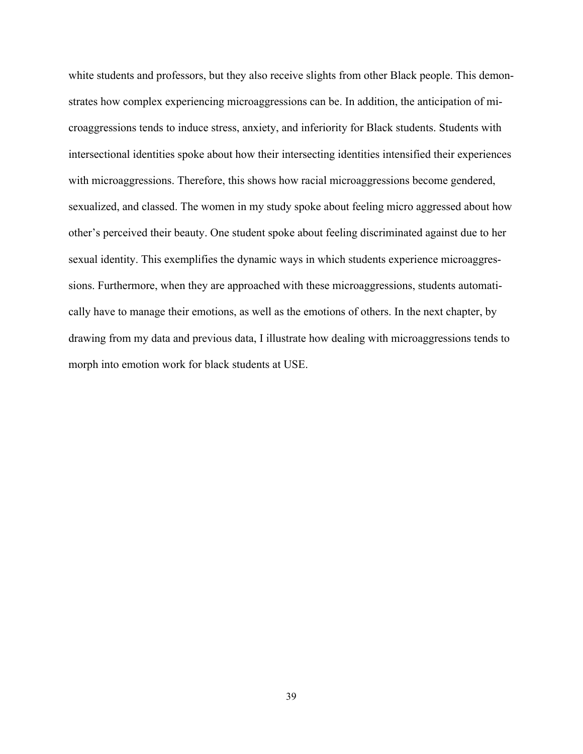white students and professors, but they also receive slights from other Black people. This demonstrates how complex experiencing microaggressions can be. In addition, the anticipation of microaggressions tends to induce stress, anxiety, and inferiority for Black students. Students with intersectional identities spoke about how their intersecting identities intensified their experiences with microaggressions. Therefore, this shows how racial microaggressions become gendered, sexualized, and classed. The women in my study spoke about feeling micro aggressed about how other's perceived their beauty. One student spoke about feeling discriminated against due to her sexual identity. This exemplifies the dynamic ways in which students experience microaggressions. Furthermore, when they are approached with these microaggressions, students automatically have to manage their emotions, as well as the emotions of others. In the next chapter, by drawing from my data and previous data, I illustrate how dealing with microaggressions tends to morph into emotion work for black students at USE.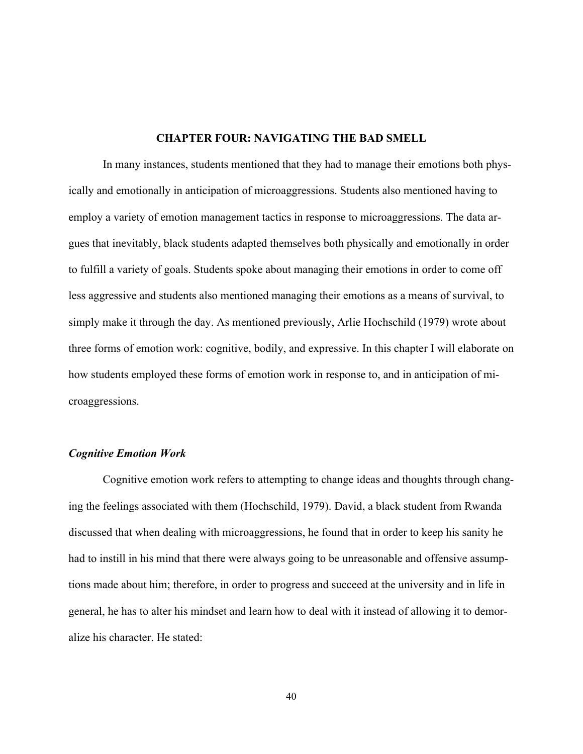#### **CHAPTER FOUR: NAVIGATING THE BAD SMELL**

In many instances, students mentioned that they had to manage their emotions both physically and emotionally in anticipation of microaggressions. Students also mentioned having to employ a variety of emotion management tactics in response to microaggressions. The data argues that inevitably, black students adapted themselves both physically and emotionally in order to fulfill a variety of goals. Students spoke about managing their emotions in order to come off less aggressive and students also mentioned managing their emotions as a means of survival, to simply make it through the day. As mentioned previously, Arlie Hochschild (1979) wrote about three forms of emotion work: cognitive, bodily, and expressive. In this chapter I will elaborate on how students employed these forms of emotion work in response to, and in anticipation of microaggressions.

#### *Cognitive Emotion Work*

Cognitive emotion work refers to attempting to change ideas and thoughts through changing the feelings associated with them (Hochschild, 1979). David, a black student from Rwanda discussed that when dealing with microaggressions, he found that in order to keep his sanity he had to instill in his mind that there were always going to be unreasonable and offensive assumptions made about him; therefore, in order to progress and succeed at the university and in life in general, he has to alter his mindset and learn how to deal with it instead of allowing it to demoralize his character. He stated: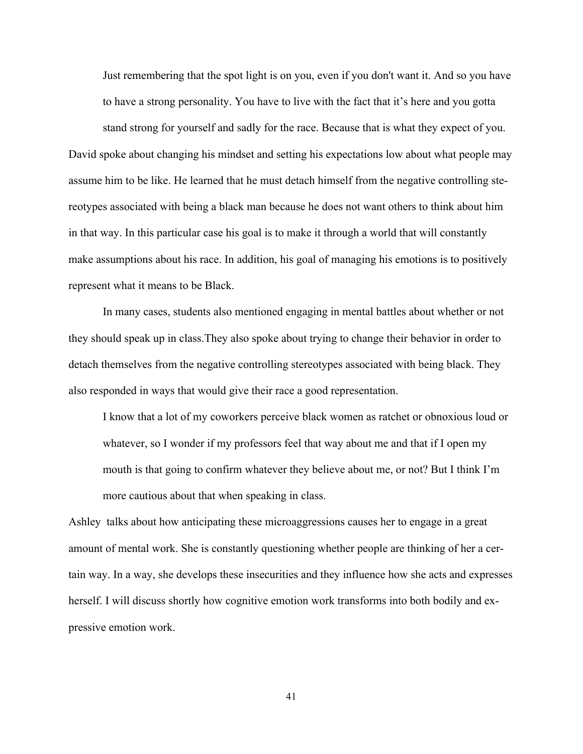Just remembering that the spot light is on you, even if you don't want it. And so you have to have a strong personality. You have to live with the fact that it's here and you gotta

stand strong for yourself and sadly for the race. Because that is what they expect of you. David spoke about changing his mindset and setting his expectations low about what people may assume him to be like. He learned that he must detach himself from the negative controlling stereotypes associated with being a black man because he does not want others to think about him in that way. In this particular case his goal is to make it through a world that will constantly make assumptions about his race. In addition, his goal of managing his emotions is to positively represent what it means to be Black.

In many cases, students also mentioned engaging in mental battles about whether or not they should speak up in class.They also spoke about trying to change their behavior in order to detach themselves from the negative controlling stereotypes associated with being black. They also responded in ways that would give their race a good representation.

I know that a lot of my coworkers perceive black women as ratchet or obnoxious loud or whatever, so I wonder if my professors feel that way about me and that if I open my mouth is that going to confirm whatever they believe about me, or not? But I think I'm more cautious about that when speaking in class.

Ashley talks about how anticipating these microaggressions causes her to engage in a great amount of mental work. She is constantly questioning whether people are thinking of her a certain way. In a way, she develops these insecurities and they influence how she acts and expresses herself. I will discuss shortly how cognitive emotion work transforms into both bodily and expressive emotion work.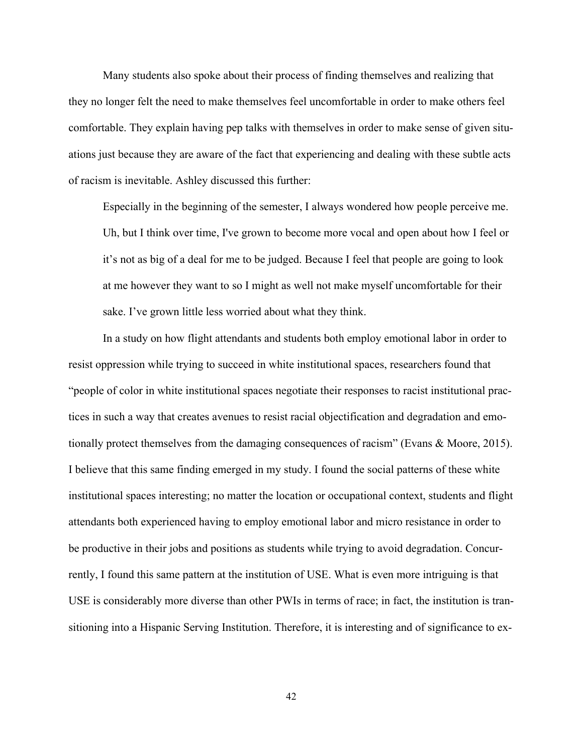Many students also spoke about their process of finding themselves and realizing that they no longer felt the need to make themselves feel uncomfortable in order to make others feel comfortable. They explain having pep talks with themselves in order to make sense of given situations just because they are aware of the fact that experiencing and dealing with these subtle acts of racism is inevitable. Ashley discussed this further:

Especially in the beginning of the semester, I always wondered how people perceive me. Uh, but I think over time, I've grown to become more vocal and open about how I feel or it's not as big of a deal for me to be judged. Because I feel that people are going to look at me however they want to so I might as well not make myself uncomfortable for their sake. I've grown little less worried about what they think.

In a study on how flight attendants and students both employ emotional labor in order to resist oppression while trying to succeed in white institutional spaces, researchers found that "people of color in white institutional spaces negotiate their responses to racist institutional practices in such a way that creates avenues to resist racial objectification and degradation and emotionally protect themselves from the damaging consequences of racism" (Evans & Moore, 2015). I believe that this same finding emerged in my study. I found the social patterns of these white institutional spaces interesting; no matter the location or occupational context, students and flight attendants both experienced having to employ emotional labor and micro resistance in order to be productive in their jobs and positions as students while trying to avoid degradation. Concurrently, I found this same pattern at the institution of USE. What is even more intriguing is that USE is considerably more diverse than other PWIs in terms of race; in fact, the institution is transitioning into a Hispanic Serving Institution. Therefore, it is interesting and of significance to ex-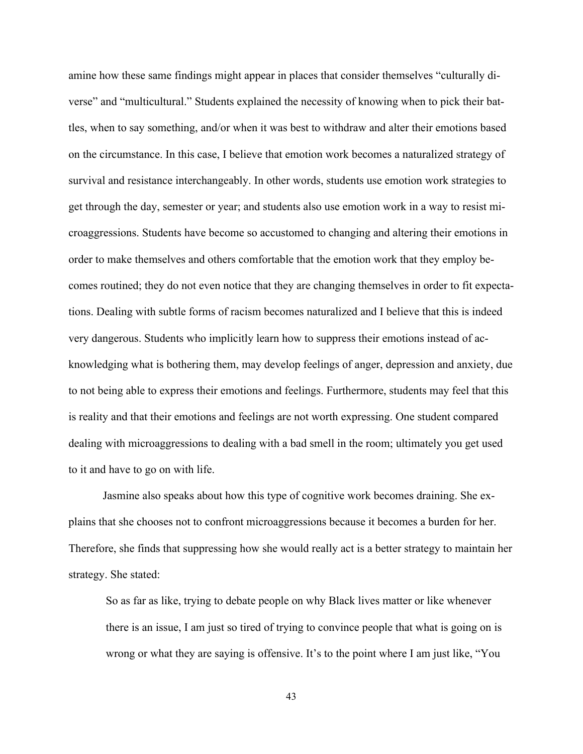amine how these same findings might appear in places that consider themselves "culturally diverse" and "multicultural." Students explained the necessity of knowing when to pick their battles, when to say something, and/or when it was best to withdraw and alter their emotions based on the circumstance. In this case, I believe that emotion work becomes a naturalized strategy of survival and resistance interchangeably. In other words, students use emotion work strategies to get through the day, semester or year; and students also use emotion work in a way to resist microaggressions. Students have become so accustomed to changing and altering their emotions in order to make themselves and others comfortable that the emotion work that they employ becomes routined; they do not even notice that they are changing themselves in order to fit expectations. Dealing with subtle forms of racism becomes naturalized and I believe that this is indeed very dangerous. Students who implicitly learn how to suppress their emotions instead of acknowledging what is bothering them, may develop feelings of anger, depression and anxiety, due to not being able to express their emotions and feelings. Furthermore, students may feel that this is reality and that their emotions and feelings are not worth expressing. One student compared dealing with microaggressions to dealing with a bad smell in the room; ultimately you get used to it and have to go on with life.

Jasmine also speaks about how this type of cognitive work becomes draining. She explains that she chooses not to confront microaggressions because it becomes a burden for her. Therefore, she finds that suppressing how she would really act is a better strategy to maintain her strategy. She stated:

So as far as like, trying to debate people on why Black lives matter or like whenever there is an issue, I am just so tired of trying to convince people that what is going on is wrong or what they are saying is offensive. It's to the point where I am just like, "You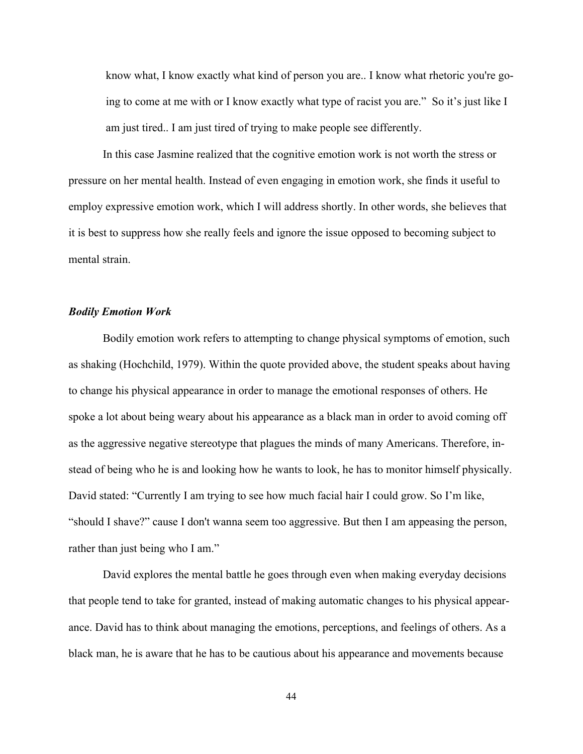know what, I know exactly what kind of person you are.. I know what rhetoric you're going to come at me with or I know exactly what type of racist you are." So it's just like I am just tired.. I am just tired of trying to make people see differently.

In this case Jasmine realized that the cognitive emotion work is not worth the stress or pressure on her mental health. Instead of even engaging in emotion work, she finds it useful to employ expressive emotion work, which I will address shortly. In other words, she believes that it is best to suppress how she really feels and ignore the issue opposed to becoming subject to mental strain.

#### *Bodily Emotion Work*

Bodily emotion work refers to attempting to change physical symptoms of emotion, such as shaking (Hochchild, 1979). Within the quote provided above, the student speaks about having to change his physical appearance in order to manage the emotional responses of others. He spoke a lot about being weary about his appearance as a black man in order to avoid coming off as the aggressive negative stereotype that plagues the minds of many Americans. Therefore, instead of being who he is and looking how he wants to look, he has to monitor himself physically. David stated: "Currently I am trying to see how much facial hair I could grow. So I'm like, "should I shave?" cause I don't wanna seem too aggressive. But then I am appeasing the person, rather than just being who I am."

David explores the mental battle he goes through even when making everyday decisions that people tend to take for granted, instead of making automatic changes to his physical appearance. David has to think about managing the emotions, perceptions, and feelings of others. As a black man, he is aware that he has to be cautious about his appearance and movements because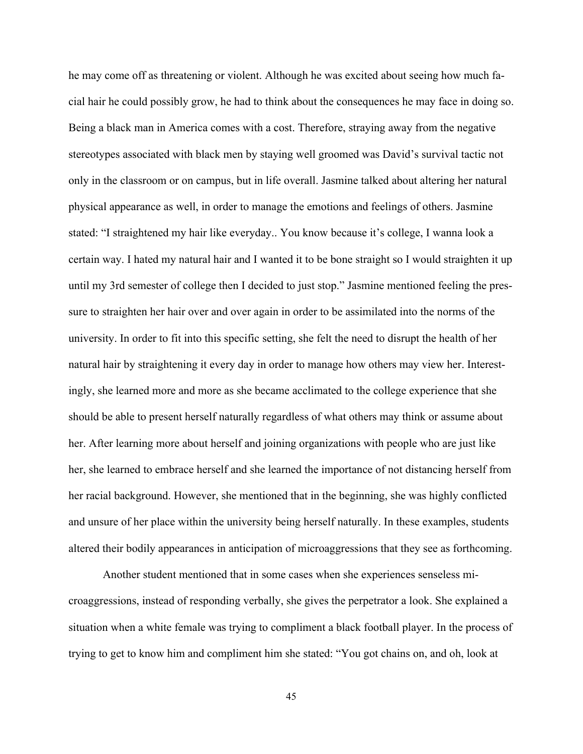he may come off as threatening or violent. Although he was excited about seeing how much facial hair he could possibly grow, he had to think about the consequences he may face in doing so. Being a black man in America comes with a cost. Therefore, straying away from the negative stereotypes associated with black men by staying well groomed was David's survival tactic not only in the classroom or on campus, but in life overall. Jasmine talked about altering her natural physical appearance as well, in order to manage the emotions and feelings of others. Jasmine stated: "I straightened my hair like everyday.. You know because it's college, I wanna look a certain way. I hated my natural hair and I wanted it to be bone straight so I would straighten it up until my 3rd semester of college then I decided to just stop." Jasmine mentioned feeling the pressure to straighten her hair over and over again in order to be assimilated into the norms of the university. In order to fit into this specific setting, she felt the need to disrupt the health of her natural hair by straightening it every day in order to manage how others may view her. Interestingly, she learned more and more as she became acclimated to the college experience that she should be able to present herself naturally regardless of what others may think or assume about her. After learning more about herself and joining organizations with people who are just like her, she learned to embrace herself and she learned the importance of not distancing herself from her racial background. However, she mentioned that in the beginning, she was highly conflicted and unsure of her place within the university being herself naturally. In these examples, students altered their bodily appearances in anticipation of microaggressions that they see as forthcoming.

Another student mentioned that in some cases when she experiences senseless microaggressions, instead of responding verbally, she gives the perpetrator a look. She explained a situation when a white female was trying to compliment a black football player. In the process of trying to get to know him and compliment him she stated: "You got chains on, and oh, look at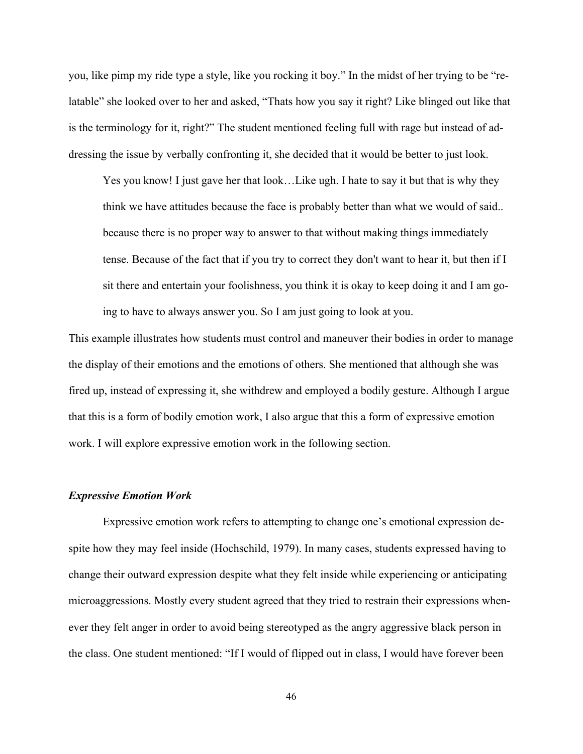you, like pimp my ride type a style, like you rocking it boy." In the midst of her trying to be "relatable" she looked over to her and asked, "Thats how you say it right? Like blinged out like that is the terminology for it, right?" The student mentioned feeling full with rage but instead of addressing the issue by verbally confronting it, she decided that it would be better to just look.

Yes you know! I just gave her that look…Like ugh. I hate to say it but that is why they think we have attitudes because the face is probably better than what we would of said.. because there is no proper way to answer to that without making things immediately tense. Because of the fact that if you try to correct they don't want to hear it, but then if I sit there and entertain your foolishness, you think it is okay to keep doing it and I am going to have to always answer you. So I am just going to look at you.

This example illustrates how students must control and maneuver their bodies in order to manage the display of their emotions and the emotions of others. She mentioned that although she was fired up, instead of expressing it, she withdrew and employed a bodily gesture. Although I argue that this is a form of bodily emotion work, I also argue that this a form of expressive emotion work. I will explore expressive emotion work in the following section.

#### *Expressive Emotion Work*

Expressive emotion work refers to attempting to change one's emotional expression despite how they may feel inside (Hochschild, 1979). In many cases, students expressed having to change their outward expression despite what they felt inside while experiencing or anticipating microaggressions. Mostly every student agreed that they tried to restrain their expressions whenever they felt anger in order to avoid being stereotyped as the angry aggressive black person in the class. One student mentioned: "If I would of flipped out in class, I would have forever been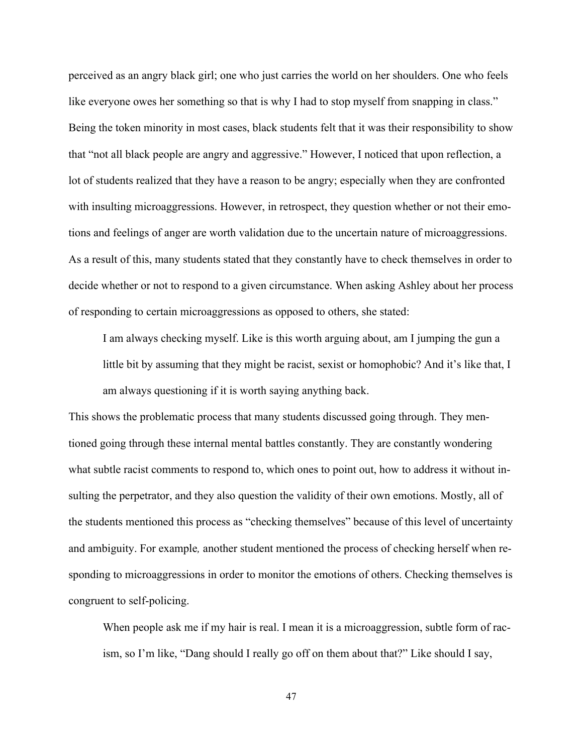perceived as an angry black girl; one who just carries the world on her shoulders. One who feels like everyone owes her something so that is why I had to stop myself from snapping in class." Being the token minority in most cases, black students felt that it was their responsibility to show that "not all black people are angry and aggressive." However, I noticed that upon reflection, a lot of students realized that they have a reason to be angry; especially when they are confronted with insulting microaggressions. However, in retrospect, they question whether or not their emotions and feelings of anger are worth validation due to the uncertain nature of microaggressions. As a result of this, many students stated that they constantly have to check themselves in order to decide whether or not to respond to a given circumstance. When asking Ashley about her process of responding to certain microaggressions as opposed to others, she stated:

I am always checking myself. Like is this worth arguing about, am I jumping the gun a little bit by assuming that they might be racist, sexist or homophobic? And it's like that, I am always questioning if it is worth saying anything back.

This shows the problematic process that many students discussed going through. They mentioned going through these internal mental battles constantly. They are constantly wondering what subtle racist comments to respond to, which ones to point out, how to address it without insulting the perpetrator, and they also question the validity of their own emotions. Mostly, all of the students mentioned this process as "checking themselves" because of this level of uncertainty and ambiguity. For example*,* another student mentioned the process of checking herself when responding to microaggressions in order to monitor the emotions of others. Checking themselves is congruent to self-policing.

When people ask me if my hair is real. I mean it is a microaggression, subtle form of racism, so I'm like, "Dang should I really go off on them about that?" Like should I say,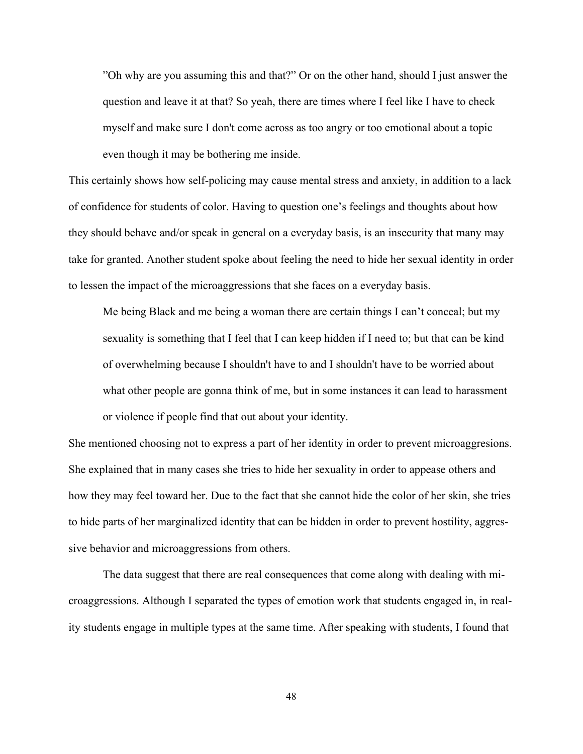"Oh why are you assuming this and that?" Or on the other hand, should I just answer the question and leave it at that? So yeah, there are times where I feel like I have to check myself and make sure I don't come across as too angry or too emotional about a topic even though it may be bothering me inside.

This certainly shows how self-policing may cause mental stress and anxiety, in addition to a lack of confidence for students of color. Having to question one's feelings and thoughts about how they should behave and/or speak in general on a everyday basis, is an insecurity that many may take for granted. Another student spoke about feeling the need to hide her sexual identity in order to lessen the impact of the microaggressions that she faces on a everyday basis.

Me being Black and me being a woman there are certain things I can't conceal; but my sexuality is something that I feel that I can keep hidden if I need to; but that can be kind of overwhelming because I shouldn't have to and I shouldn't have to be worried about what other people are gonna think of me, but in some instances it can lead to harassment or violence if people find that out about your identity.

She mentioned choosing not to express a part of her identity in order to prevent microaggresions. She explained that in many cases she tries to hide her sexuality in order to appease others and how they may feel toward her. Due to the fact that she cannot hide the color of her skin, she tries to hide parts of her marginalized identity that can be hidden in order to prevent hostility, aggressive behavior and microaggressions from others.

The data suggest that there are real consequences that come along with dealing with microaggressions. Although I separated the types of emotion work that students engaged in, in reality students engage in multiple types at the same time. After speaking with students, I found that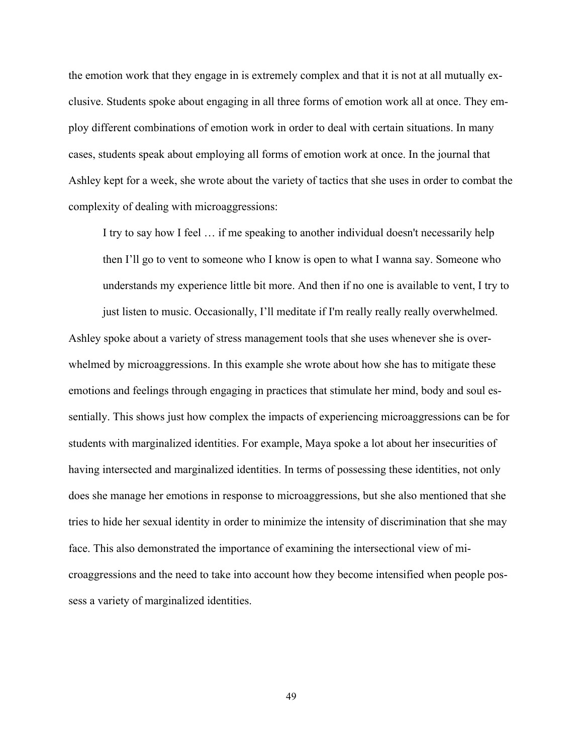the emotion work that they engage in is extremely complex and that it is not at all mutually exclusive. Students spoke about engaging in all three forms of emotion work all at once. They employ different combinations of emotion work in order to deal with certain situations. In many cases, students speak about employing all forms of emotion work at once. In the journal that Ashley kept for a week, she wrote about the variety of tactics that she uses in order to combat the complexity of dealing with microaggressions:

I try to say how I feel … if me speaking to another individual doesn't necessarily help then I'll go to vent to someone who I know is open to what I wanna say. Someone who understands my experience little bit more. And then if no one is available to vent, I try to just listen to music. Occasionally, I'll meditate if I'm really really really overwhelmed.

Ashley spoke about a variety of stress management tools that she uses whenever she is overwhelmed by microaggressions. In this example she wrote about how she has to mitigate these emotions and feelings through engaging in practices that stimulate her mind, body and soul essentially. This shows just how complex the impacts of experiencing microaggressions can be for students with marginalized identities. For example, Maya spoke a lot about her insecurities of having intersected and marginalized identities. In terms of possessing these identities, not only does she manage her emotions in response to microaggressions, but she also mentioned that she tries to hide her sexual identity in order to minimize the intensity of discrimination that she may face. This also demonstrated the importance of examining the intersectional view of microaggressions and the need to take into account how they become intensified when people possess a variety of marginalized identities.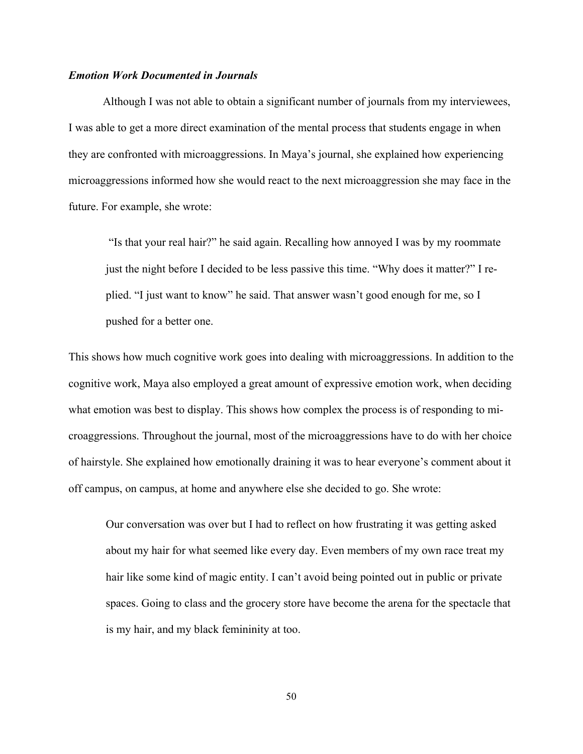#### *Emotion Work Documented in Journals*

Although I was not able to obtain a significant number of journals from my interviewees, I was able to get a more direct examination of the mental process that students engage in when they are confronted with microaggressions. In Maya's journal, she explained how experiencing microaggressions informed how she would react to the next microaggression she may face in the future. For example, she wrote:

"Is that your real hair?" he said again. Recalling how annoyed I was by my roommate just the night before I decided to be less passive this time. "Why does it matter?" I replied. "I just want to know" he said. That answer wasn't good enough for me, so I pushed for a better one.

This shows how much cognitive work goes into dealing with microaggressions. In addition to the cognitive work, Maya also employed a great amount of expressive emotion work, when deciding what emotion was best to display. This shows how complex the process is of responding to microaggressions. Throughout the journal, most of the microaggressions have to do with her choice of hairstyle. She explained how emotionally draining it was to hear everyone's comment about it off campus, on campus, at home and anywhere else she decided to go. She wrote:

Our conversation was over but I had to reflect on how frustrating it was getting asked about my hair for what seemed like every day. Even members of my own race treat my hair like some kind of magic entity. I can't avoid being pointed out in public or private spaces. Going to class and the grocery store have become the arena for the spectacle that is my hair, and my black femininity at too.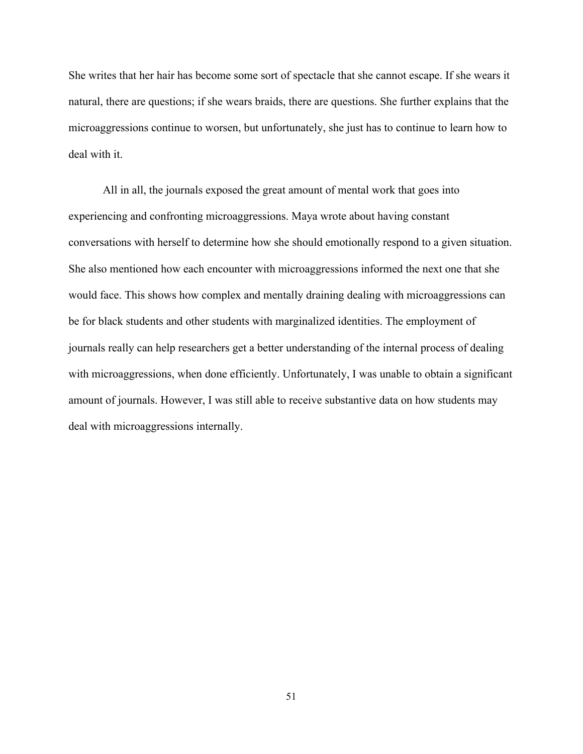She writes that her hair has become some sort of spectacle that she cannot escape. If she wears it natural, there are questions; if she wears braids, there are questions. She further explains that the microaggressions continue to worsen, but unfortunately, she just has to continue to learn how to deal with it.

All in all, the journals exposed the great amount of mental work that goes into experiencing and confronting microaggressions. Maya wrote about having constant conversations with herself to determine how she should emotionally respond to a given situation. She also mentioned how each encounter with microaggressions informed the next one that she would face. This shows how complex and mentally draining dealing with microaggressions can be for black students and other students with marginalized identities. The employment of journals really can help researchers get a better understanding of the internal process of dealing with microaggressions, when done efficiently. Unfortunately, I was unable to obtain a significant amount of journals. However, I was still able to receive substantive data on how students may deal with microaggressions internally.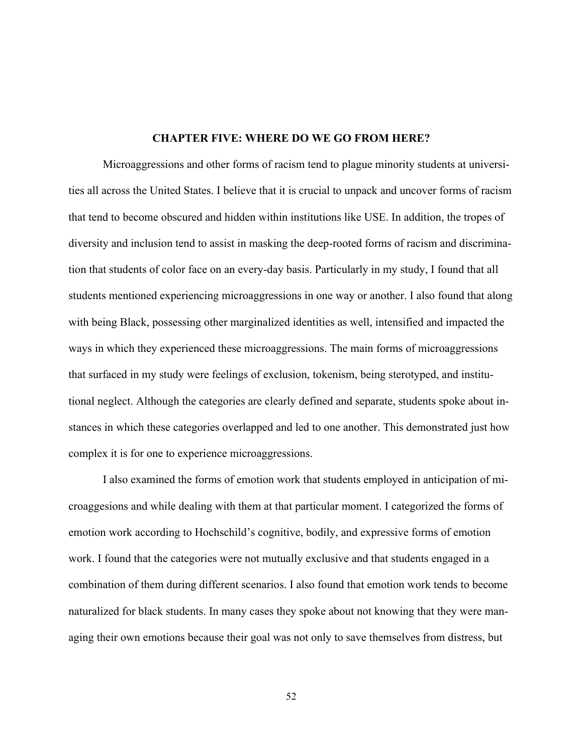#### **CHAPTER FIVE: WHERE DO WE GO FROM HERE?**

Microaggressions and other forms of racism tend to plague minority students at universities all across the United States. I believe that it is crucial to unpack and uncover forms of racism that tend to become obscured and hidden within institutions like USE. In addition, the tropes of diversity and inclusion tend to assist in masking the deep-rooted forms of racism and discrimination that students of color face on an every-day basis. Particularly in my study, I found that all students mentioned experiencing microaggressions in one way or another. I also found that along with being Black, possessing other marginalized identities as well, intensified and impacted the ways in which they experienced these microaggressions. The main forms of microaggressions that surfaced in my study were feelings of exclusion, tokenism, being sterotyped, and institutional neglect. Although the categories are clearly defined and separate, students spoke about instances in which these categories overlapped and led to one another. This demonstrated just how complex it is for one to experience microaggressions.

I also examined the forms of emotion work that students employed in anticipation of microaggesions and while dealing with them at that particular moment. I categorized the forms of emotion work according to Hochschild's cognitive, bodily, and expressive forms of emotion work. I found that the categories were not mutually exclusive and that students engaged in a combination of them during different scenarios. I also found that emotion work tends to become naturalized for black students. In many cases they spoke about not knowing that they were managing their own emotions because their goal was not only to save themselves from distress, but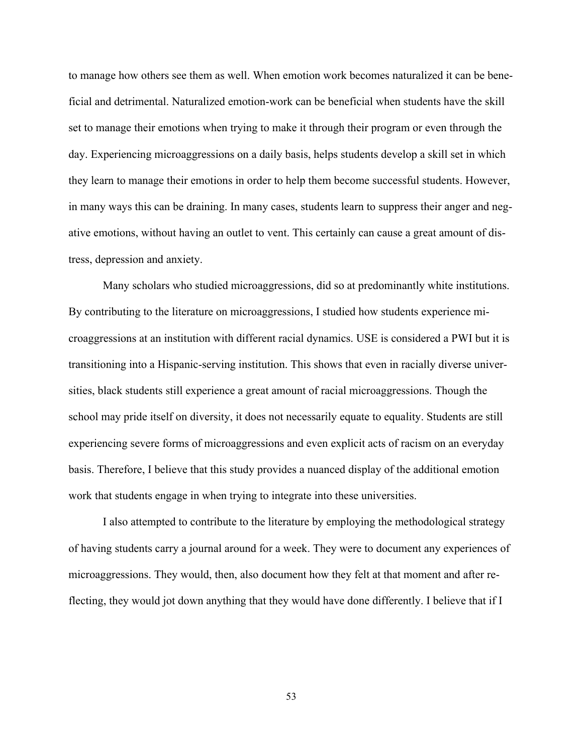to manage how others see them as well. When emotion work becomes naturalized it can be beneficial and detrimental. Naturalized emotion-work can be beneficial when students have the skill set to manage their emotions when trying to make it through their program or even through the day. Experiencing microaggressions on a daily basis, helps students develop a skill set in which they learn to manage their emotions in order to help them become successful students. However, in many ways this can be draining. In many cases, students learn to suppress their anger and negative emotions, without having an outlet to vent. This certainly can cause a great amount of distress, depression and anxiety.

Many scholars who studied microaggressions, did so at predominantly white institutions. By contributing to the literature on microaggressions, I studied how students experience microaggressions at an institution with different racial dynamics. USE is considered a PWI but it is transitioning into a Hispanic-serving institution. This shows that even in racially diverse universities, black students still experience a great amount of racial microaggressions. Though the school may pride itself on diversity, it does not necessarily equate to equality. Students are still experiencing severe forms of microaggressions and even explicit acts of racism on an everyday basis. Therefore, I believe that this study provides a nuanced display of the additional emotion work that students engage in when trying to integrate into these universities.

I also attempted to contribute to the literature by employing the methodological strategy of having students carry a journal around for a week. They were to document any experiences of microaggressions. They would, then, also document how they felt at that moment and after reflecting, they would jot down anything that they would have done differently. I believe that if I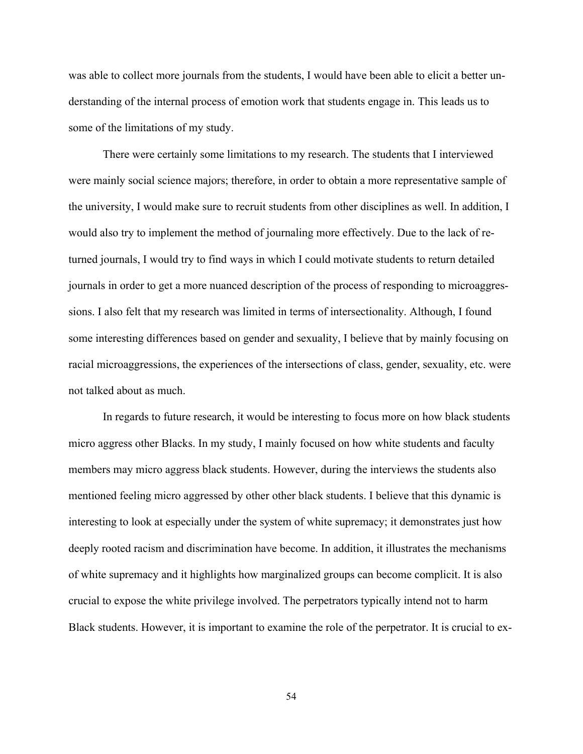was able to collect more journals from the students, I would have been able to elicit a better understanding of the internal process of emotion work that students engage in. This leads us to some of the limitations of my study.

There were certainly some limitations to my research. The students that I interviewed were mainly social science majors; therefore, in order to obtain a more representative sample of the university, I would make sure to recruit students from other disciplines as well. In addition, I would also try to implement the method of journaling more effectively. Due to the lack of returned journals, I would try to find ways in which I could motivate students to return detailed journals in order to get a more nuanced description of the process of responding to microaggressions. I also felt that my research was limited in terms of intersectionality. Although, I found some interesting differences based on gender and sexuality, I believe that by mainly focusing on racial microaggressions, the experiences of the intersections of class, gender, sexuality, etc. were not talked about as much.

In regards to future research, it would be interesting to focus more on how black students micro aggress other Blacks. In my study, I mainly focused on how white students and faculty members may micro aggress black students. However, during the interviews the students also mentioned feeling micro aggressed by other other black students. I believe that this dynamic is interesting to look at especially under the system of white supremacy; it demonstrates just how deeply rooted racism and discrimination have become. In addition, it illustrates the mechanisms of white supremacy and it highlights how marginalized groups can become complicit. It is also crucial to expose the white privilege involved. The perpetrators typically intend not to harm Black students. However, it is important to examine the role of the perpetrator. It is crucial to ex-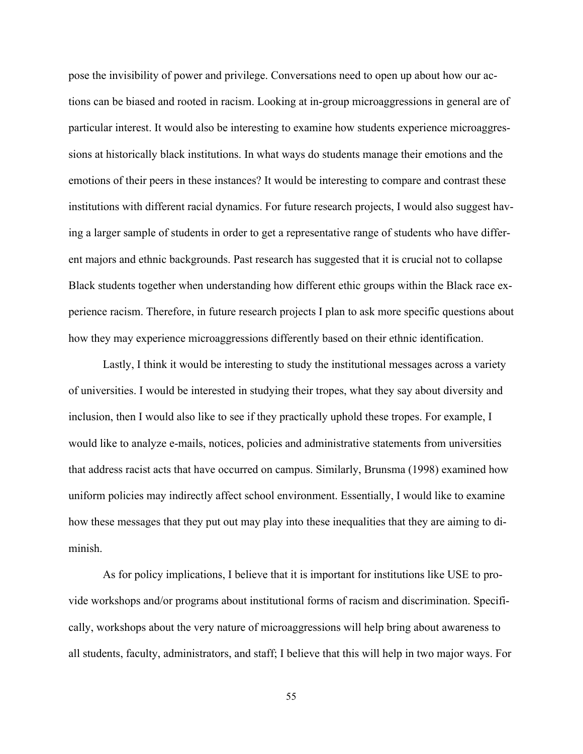pose the invisibility of power and privilege. Conversations need to open up about how our actions can be biased and rooted in racism. Looking at in-group microaggressions in general are of particular interest. It would also be interesting to examine how students experience microaggressions at historically black institutions. In what ways do students manage their emotions and the emotions of their peers in these instances? It would be interesting to compare and contrast these institutions with different racial dynamics. For future research projects, I would also suggest having a larger sample of students in order to get a representative range of students who have different majors and ethnic backgrounds. Past research has suggested that it is crucial not to collapse Black students together when understanding how different ethic groups within the Black race experience racism. Therefore, in future research projects I plan to ask more specific questions about how they may experience microaggressions differently based on their ethnic identification.

Lastly, I think it would be interesting to study the institutional messages across a variety of universities. I would be interested in studying their tropes, what they say about diversity and inclusion, then I would also like to see if they practically uphold these tropes. For example, I would like to analyze e-mails, notices, policies and administrative statements from universities that address racist acts that have occurred on campus. Similarly, Brunsma (1998) examined how uniform policies may indirectly affect school environment. Essentially, I would like to examine how these messages that they put out may play into these inequalities that they are aiming to diminish.

As for policy implications, I believe that it is important for institutions like USE to provide workshops and/or programs about institutional forms of racism and discrimination. Specifically, workshops about the very nature of microaggressions will help bring about awareness to all students, faculty, administrators, and staff; I believe that this will help in two major ways. For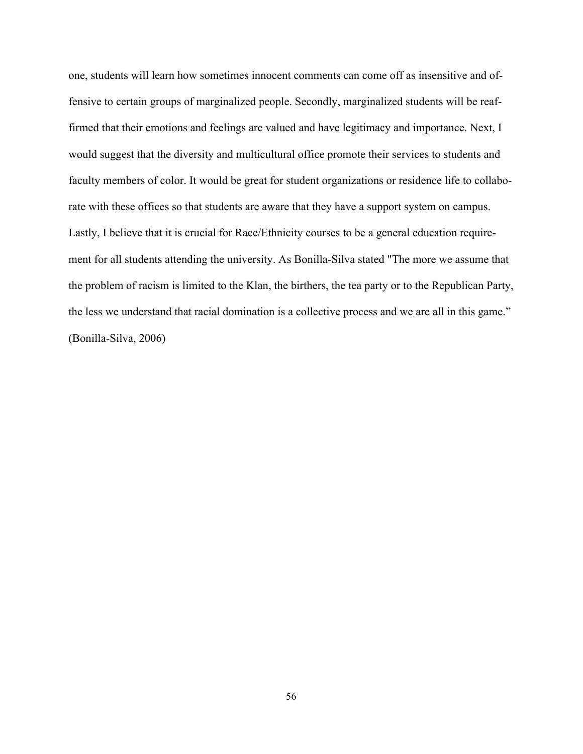one, students will learn how sometimes innocent comments can come off as insensitive and offensive to certain groups of marginalized people. Secondly, marginalized students will be reaffirmed that their emotions and feelings are valued and have legitimacy and importance. Next, I would suggest that the diversity and multicultural office promote their services to students and faculty members of color. It would be great for student organizations or residence life to collaborate with these offices so that students are aware that they have a support system on campus. Lastly, I believe that it is crucial for Race/Ethnicity courses to be a general education requirement for all students attending the university. As Bonilla-Silva stated "The more we assume that the problem of racism is limited to the Klan, the birthers, the tea party or to the Republican Party, the less we understand that racial domination is a collective process and we are all in this game." (Bonilla-Silva, 2006)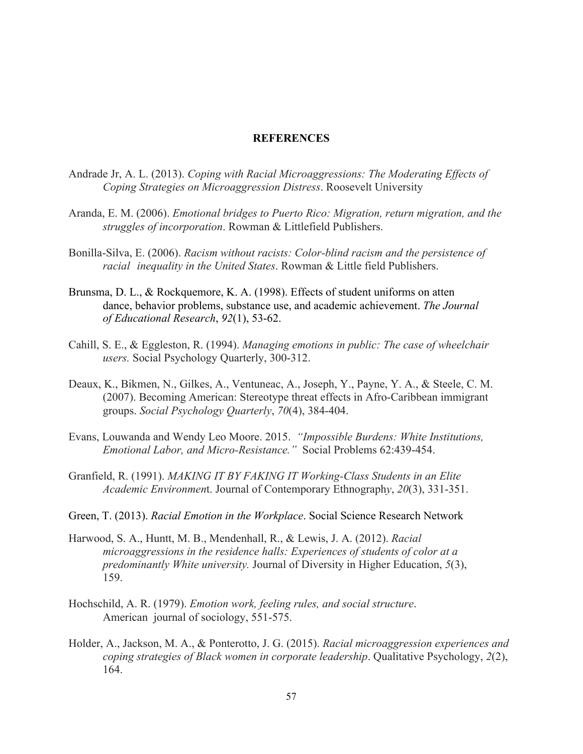#### **REFERENCES**

- Andrade Jr, A. L. (2013). *Coping with Racial Microaggressions: The Moderating Effects of Coping Strategies on Microaggression Distress*. Roosevelt University
- Aranda, E. M. (2006). *Emotional bridges to Puerto Rico: Migration, return migration, and the struggles of incorporation*. Rowman & Littlefield Publishers.
- Bonilla-Silva, E. (2006). *Racism without racists: Color-blind racism and the persistence of racial inequality in the United States*. Rowman & Little field Publishers.
- Brunsma, D. L., & Rockquemore, K. A. (1998). Effects of student uniforms on atten dance, behavior problems, substance use, and academic achievement. *The Journal of Educational Research*, *92*(1), 53-62.
- Cahill, S. E., & Eggleston, R. (1994). *Managing emotions in public: The case of wheelchair users.* Social Psychology Quarterly, 300-312.
- Deaux, K., Bikmen, N., Gilkes, A., Ventuneac, A., Joseph, Y., Payne, Y. A., & Steele, C. M. (2007). Becoming American: Stereotype threat effects in Afro-Caribbean immigrant groups. *Social Psychology Quarterly*, *70*(4), 384-404.
- Evans, Louwanda and Wendy Leo Moore. 2015. *"Impossible Burdens: White Institutions, Emotional Labor, and Micro-Resistance."* Social Problems 62:439-454.
- Granfield, R. (1991). *MAKING IT BY FAKING IT Working-Class Students in an Elite Academic Environmen*t. Journal of Contemporary Ethnograph*y*, *20*(3), 331-351.
- Green, T. (2013). *Racial Emotion in the Workplace*. Social Science Research Network
- Harwood, S. A., Huntt, M. B., Mendenhall, R., & Lewis, J. A. (2012). *Racial microaggressions in the residence halls: Experiences of students of color at a predominantly White university.* Journal of Diversity in Higher Education, *5*(3), 159.
- Hochschild, A. R. (1979). *Emotion work, feeling rules, and social structure*. American journal of sociology, 551-575.
- Holder, A., Jackson, M. A., & Ponterotto, J. G. (2015). *Racial microaggression experiences and coping strategies of Black women in corporate leadership*. Qualitative Psychology, *2*(2), 164.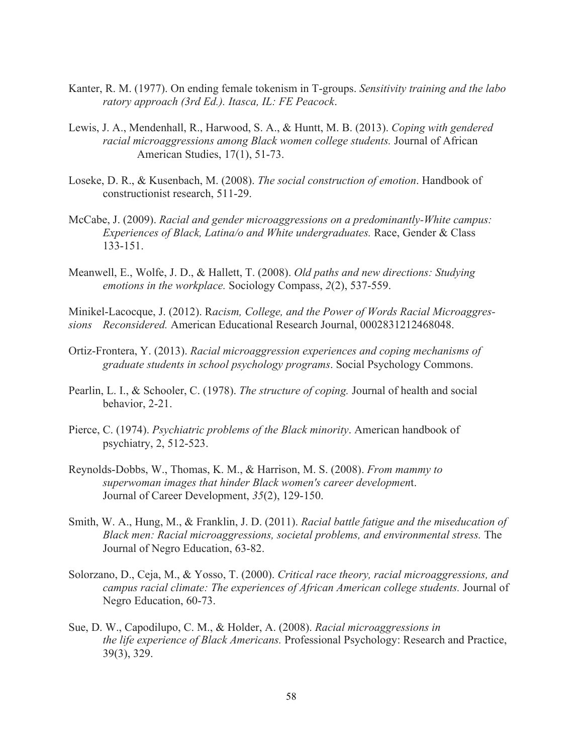- Kanter, R. M. (1977). On ending female tokenism in T-groups. *Sensitivity training and the labo ratory approach (3rd Ed.). Itasca, IL: FE Peacock*.
- Lewis, J. A., Mendenhall, R., Harwood, S. A., & Huntt, M. B. (2013). *Coping with gendered racial microaggressions among Black women college students.* Journal of African American Studies, 17(1), 51-73.
- Loseke, D. R., & Kusenbach, M. (2008). *The social construction of emotion*. Handbook of constructionist research, 511-29.
- McCabe, J. (2009). *Racial and gender microaggressions on a predominantly-White campus: Experiences of Black, Latina/o and White undergraduates.* Race, Gender & Class 133-151.
- Meanwell, E., Wolfe, J. D., & Hallett, T. (2008). *Old paths and new directions: Studying emotions in the workplace.* Sociology Compass, *2*(2), 537-559.

Minikel-Lacocque, J. (2012). R*acism, College, and the Power of Words Racial Microaggressions Reconsidered.* American Educational Research Journal, 0002831212468048.

- Ortiz-Frontera, Y. (2013). *Racial microaggression experiences and coping mechanisms of graduate students in school psychology programs*. Social Psychology Commons.
- Pearlin, L. I., & Schooler, C. (1978). *The structure of coping.* Journal of health and social behavior, 2-21.
- Pierce, C. (1974). *Psychiatric problems of the Black minority*. American handbook of psychiatry, 2, 512-523.
- Reynolds-Dobbs, W., Thomas, K. M., & Harrison, M. S. (2008). *From mammy to superwoman images that hinder Black women's career developmen*t. Journal of Career Development, *35*(2), 129-150.
- Smith, W. A., Hung, M., & Franklin, J. D. (2011). *Racial battle fatigue and the miseducation of Black men: Racial microaggressions, societal problems, and environmental stress.* The Journal of Negro Education, 63-82.
- Solorzano, D., Ceja, M., & Yosso, T. (2000). *Critical race theory, racial microaggressions, and campus racial climate: The experiences of African American college students.* Journal of Negro Education, 60-73.
- Sue, D. W., Capodilupo, C. M., & Holder, A. (2008). *Racial microaggressions in the life experience of Black Americans.* Professional Psychology: Research and Practice, 39(3), 329.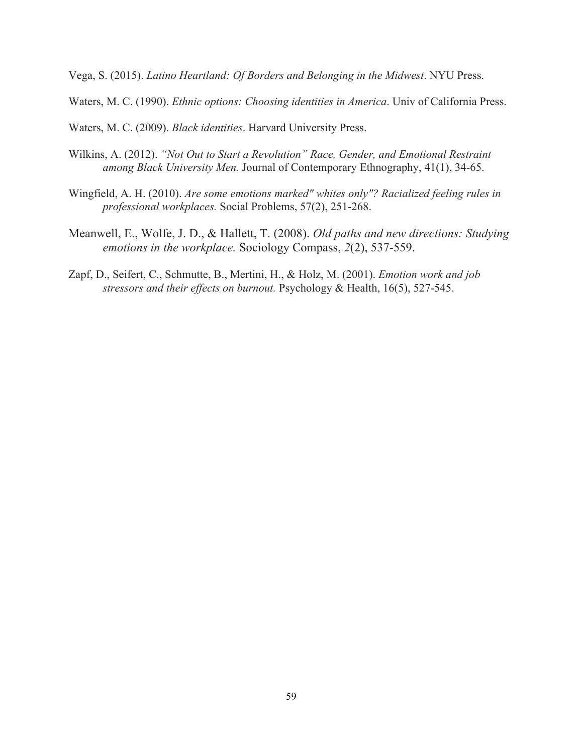Vega, S. (2015). *Latino Heartland: Of Borders and Belonging in the Midwest*. NYU Press.

Waters, M. C. (1990). *Ethnic options: Choosing identities in America*. Univ of California Press.

Waters, M. C. (2009). *Black identities*. Harvard University Press.

- Wilkins, A. (2012). *"Not Out to Start a Revolution" Race, Gender, and Emotional Restraint among Black University Men.* Journal of Contemporary Ethnography, 41(1), 34-65.
- Wingfield, A. H. (2010). *Are some emotions marked" whites only"? Racialized feeling rules in professional workplaces.* Social Problems, 57(2), 251-268.
- Meanwell, E., Wolfe, J. D., & Hallett, T. (2008). *Old paths and new directions: Studying emotions in the workplace.* Sociology Compass, *2*(2), 537-559.
- Zapf, D., Seifert, C., Schmutte, B., Mertini, H., & Holz, M. (2001). *Emotion work and job stressors and their effects on burnout.* Psychology & Health, 16(5), 527-545.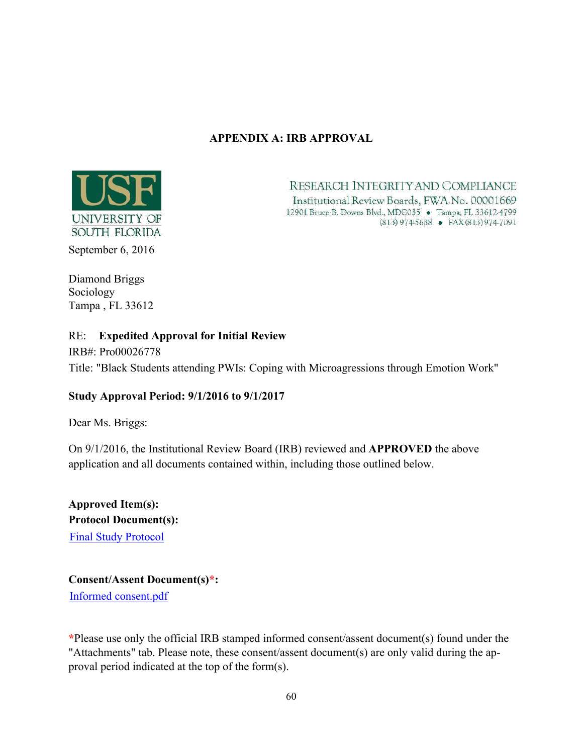# **APPENDIX A: IRB APPROVAL**



RESEARCH INTEGRITY AND COMPLIANCE Institutional Review Boards, FWA No. 00001669 12901 Bruce B. Downs Blvd., MDC035' > Tampa, FL 33612-4799  $(813)9745638 - PAX(813)9747091$ 

Diamond Briggs Sociology Tampa , FL 33612

# RE: **Expedited Approval for Initial Review**

IRB#: Pro00026778 Title: "Black Students attending PWIs: Coping with Microagressions through Emotion Work"

# **Study Approval Period: 9/1/2016 to 9/1/2017**

Dear Ms. Briggs:

On 9/1/2016, the Institutional Review Board (IRB) reviewed and **APPROVED** the above application and all documents contained within, including those outlined below.

**Approved Item(s): Protocol Document(s):** Final Study Protocol

**Consent/Assent Document(s)\*:** Informed consent.pdf

**\***Please use only the official IRB stamped informed consent/assent document(s) found under the "Attachments" tab. Please note, these consent/assent document(s) are only valid during the approval period indicated at the top of the form(s).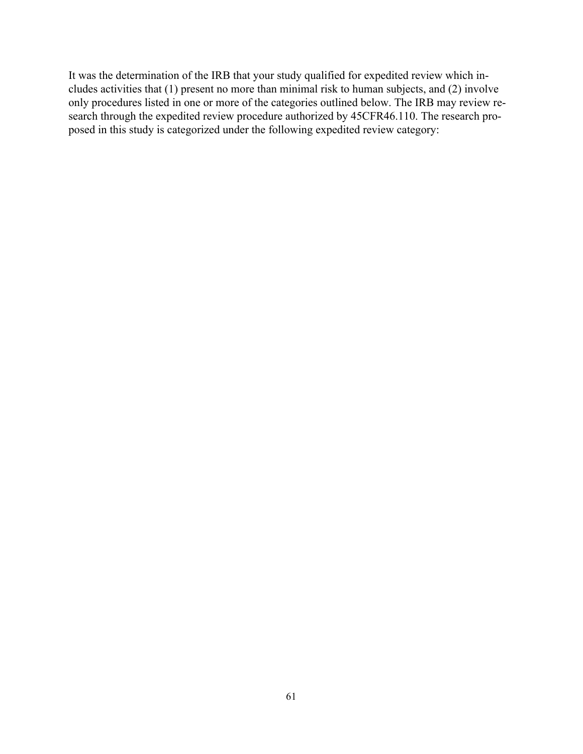It was the determination of the IRB that your study qualified for expedited review which includes activities that (1) present no more than minimal risk to human subjects, and (2) involve only procedures listed in one or more of the categories outlined below. The IRB may review research through the expedited review procedure authorized by 45CFR46.110. The research proposed in this study is categorized under the following expedited review category: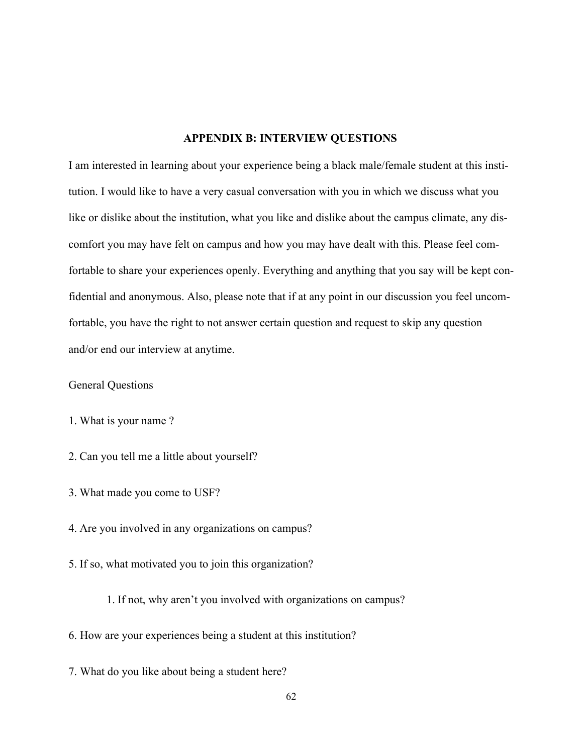#### **APPENDIX B: INTERVIEW QUESTIONS**

I am interested in learning about your experience being a black male/female student at this institution. I would like to have a very casual conversation with you in which we discuss what you like or dislike about the institution, what you like and dislike about the campus climate, any discomfort you may have felt on campus and how you may have dealt with this. Please feel comfortable to share your experiences openly. Everything and anything that you say will be kept confidential and anonymous. Also, please note that if at any point in our discussion you feel uncomfortable, you have the right to not answer certain question and request to skip any question and/or end our interview at anytime.

General Questions

1. What is your name ?

- 2. Can you tell me a little about yourself?
- 3. What made you come to USF?
- 4. Are you involved in any organizations on campus?
- 5. If so, what motivated you to join this organization?

1. If not, why aren't you involved with organizations on campus?

6. How are your experiences being a student at this institution?

7. What do you like about being a student here?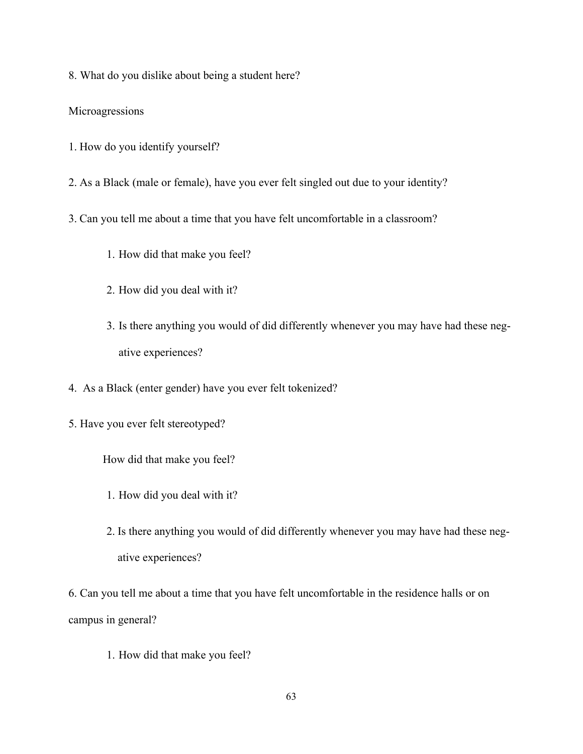8. What do you dislike about being a student here?

## Microagressions

- 1. How do you identify yourself?
- 2. As a Black (male or female), have you ever felt singled out due to your identity?
- 3. Can you tell me about a time that you have felt uncomfortable in a classroom?
	- 1. How did that make you feel?
	- 2. How did you deal with it?
	- 3. Is there anything you would of did differently whenever you may have had these negative experiences?
- 4. As a Black (enter gender) have you ever felt tokenized?
- 5. Have you ever felt stereotyped?

How did that make you feel?

- 1. How did you deal with it?
- 2. Is there anything you would of did differently whenever you may have had these negative experiences?

6. Can you tell me about a time that you have felt uncomfortable in the residence halls or on campus in general?

1. How did that make you feel?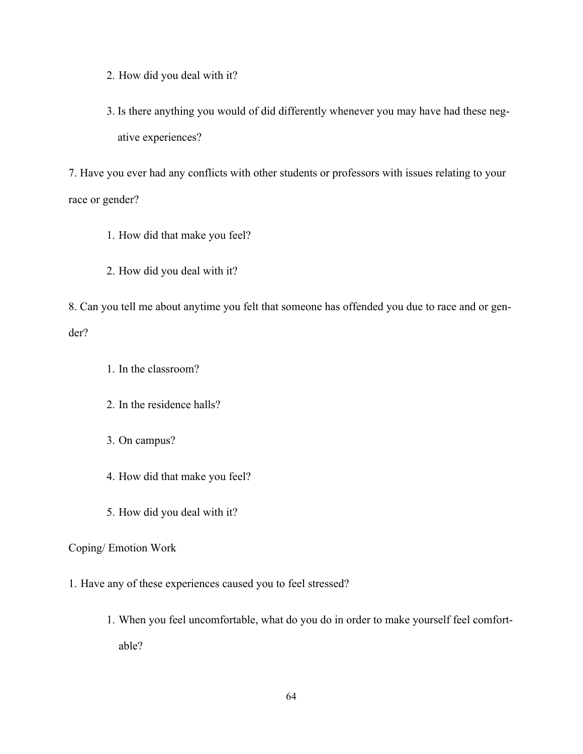2. How did you deal with it?

3. Is there anything you would of did differently whenever you may have had these negative experiences?

7. Have you ever had any conflicts with other students or professors with issues relating to your race or gender?

- 1. How did that make you feel?
- 2. How did you deal with it?

8. Can you tell me about anytime you felt that someone has offended you due to race and or gender?

- 1. In the classroom?
- 2. In the residence halls?
- 3. On campus?
- 4. How did that make you feel?
- 5. How did you deal with it?

## Coping/ Emotion Work

- 1. Have any of these experiences caused you to feel stressed?
	- 1. When you feel uncomfortable, what do you do in order to make yourself feel comfortable?